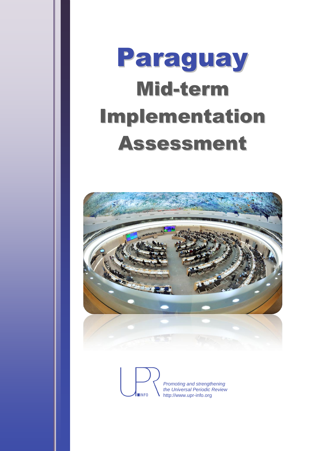



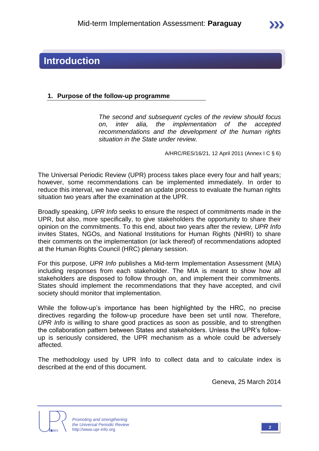### **Introduction**

#### **1. Purpose of the follow-up programme**

*The second and subsequent cycles of the review should focus on, inter alia, the implementation of the accepted recommendations and the development of the human rights situation in the State under review.*

A/HRC/RES/16/21, 12 April 2011 (Annex I C § 6)

The Universal Periodic Review (UPR) process takes place every four and half years; however, some recommendations can be implemented immediately. In order to reduce this interval, we have created an update process to evaluate the human rights situation two years after the examination at the UPR.

Broadly speaking, *UPR Info* seeks to ensure the respect of commitments made in the UPR, but also, more specifically, to give stakeholders the opportunity to share their opinion on the commitments. To this end, about two years after the review, *UPR Info* invites States, NGOs, and National Institutions for Human Rights (NHRI) to share their comments on the implementation (or lack thereof) of recommendations adopted at the Human Rights Council (HRC) plenary session.

For this purpose, *UPR Info* publishes a Mid-term Implementation Assessment (MIA) including responses from each stakeholder. The MIA is meant to show how all stakeholders are disposed to follow through on, and implement their commitments. States should implement the recommendations that they have accepted, and civil society should monitor that implementation.

While the follow-up's importance has been highlighted by the HRC, no precise directives regarding the follow-up procedure have been set until now. Therefore, *UPR Info* is willing to share good practices as soon as possible, and to strengthen the collaboration pattern between States and stakeholders. Unless the UPR's followup is seriously considered, the UPR mechanism as a whole could be adversely affected.

The methodology used by UPR Info to collect data and to calculate index is described at the end of this document.

Geneva, 25 March 2014



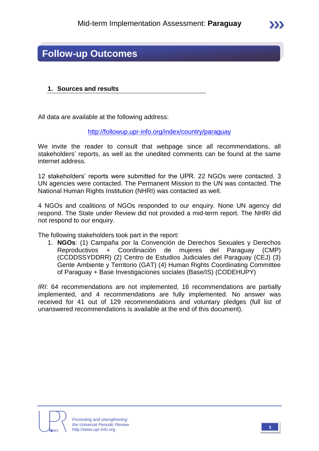### **Follow-up Outcomes**

#### **1. Sources and results**

All data are available at the following address:

<http://followup.upr-info.org/index/country/paraguay>

We invite the reader to consult that webpage since all recommendations, all stakeholders' reports, as well as the unedited comments can be found at the same internet address.

12 stakeholders' reports were submitted for the UPR. 22 NGOs were contacted. 3 UN agencies were contacted. The Permanent Mission to the UN was contacted. The National Human Rights Institution (NHRI) was contacted as well.

4 NGOs and coalitions of NGOs responded to our enquiry. None UN agency did respond. The State under Review did not provided a mid-term report. The NHRI did not respond to our enquiry.

The following stakeholders took part in the report:

1. **NGOs**: (1) Campaña por la Convención de Derechos Sexuales y Derechos Reproductivos + Coordinación de mujeres del Paraguay (CMP) (CCDDSSYDDRR) (2) Centro de Estudios Judiciales del Paraguay (CEJ) (3) Gente Ambiente y Territorio (GAT) (4) Human Rights Coordinating Committee of Paraguay + Base Investigaciones sociales (Base/IS) (CODEHUPY)

*IRI*: 64 recommendations are not implemented, 16 recommendations are partially implemented, and 4 recommendations are fully implemented. No answer was received for 41 out of 129 recommendations and voluntary pledges (full list of unanswered recommendations is available at the end of this document).



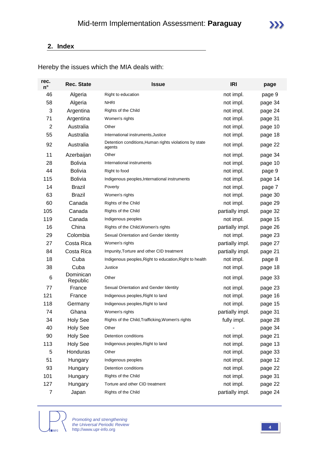#### **2. Index**

**rec. n° Rec. State Issue IRI page** 46 Algeria Right to education not impl. page 9 58 Algeria NHRI 1999 - Algeria NHRI 1999 - Algeria NHRI 1999 - Algeria NHRI 1999 - Algeria NHRI 1999 - S 3 Argentina Rights of the Child not implement of the Child not impl. page 24 71 Argentina Women's rights not implement of the page 31 2 Australia Other not impl. page 10 55 Australia International instruments, Justice **not impless in the same in the same in** ot impl. page 18 92 Australia <sup>Detention conditions,Human rights violations by state</sup> not impl. page 22 11 Azerbaijan Other not impl. page 34 28 Bolivia International instruments not implements not impl. page 10 44 Bolivia Right to food not impl. page 9 115 Bolivia Indigenous peoples, International instruments not impl. page 14 14 Brazil Poverty **not implement of the Brazil** Poverty 63 Brazil Women's rights not implement of the state of the page 30 60 Canada Rights of the Child not implement of the Child not impl. page 29 105 Canada Rights of the Child **partially impl.** page 32 119 Canada Indigenous peoples not impl. page 15 16 China Rights of the Child, Women's rights **partially impl.** page 26 29 Colombia Sexual Orientation and Gender Identity **not impless heavily** page 23 27 Costa Rica Women's rights **partially impl.** page 27 84 Costa Rica Impunity, Torture and other CID treatment **partially impl.** page 21 18 Cuba Indigenous peoples,Right to education,Right to health not impl. page 8 38 Cuba Justice not impl. page 18 6 Dominican official other the other not impl. page 33<br>Republic 77 France Sexual Orientation and Gender Identity **not imples the Sexual Orientation and Gender Identity** not impl. page 23 121 France Indigenous peoples, Right to land not impl. page 16 118 Germany Indigenous peoples, Right to land not impl. page 15 74 Ghana Women's rights partially impl. page 31 34 Holy See Rights of the Child, Trafficking, Women's rights fully impl. page 28 40 Holy See Other **- page 34** 90 Holy See Detention conditions not implement of the page 21 113 Holy See Indigenous peoples, Right to land not impl. page 13 5 Honduras Other not impl. page 33 51 Hungary Indigenous peoples not impl. page 12 93 Hungary Detention conditions not implement of the page 22 101 Hungary Rights of the Child not implement of the Child not impl. page 31 127 Hungary Torture and other CID treatment not impl. page 22 7 Japan Rights of the Child **partially impl.** page 24

Hereby the issues which the MIA deals with:

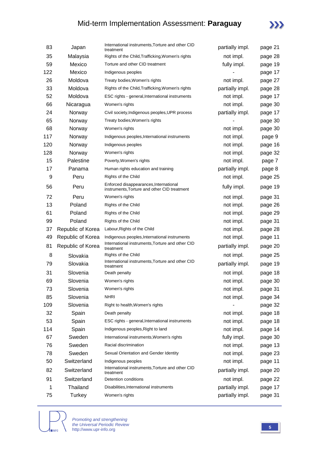### Mid-term Implementation Assessment: **Paraguay**



| 83  |                   | International instruments, Torture and other CID                                       | partially impl. |         |
|-----|-------------------|----------------------------------------------------------------------------------------|-----------------|---------|
|     | Japan             | treatment                                                                              |                 | page 21 |
| 35  | Malaysia          | Rights of the Child, Trafficking, Women's rights                                       | not impl.       | page 28 |
| 59  | Mexico            | Torture and other CID treatment                                                        | fully impl.     | page 19 |
| 122 | Mexico            | Indigenous peoples                                                                     |                 | page 17 |
| 26  | Moldova           | Treaty bodies, Women's rights                                                          | not impl.       | page 27 |
| 33  | Moldova           | Rights of the Child, Trafficking, Women's rights                                       | partially impl. | page 28 |
| 52  | Moldova           | ESC rights - general, International instruments                                        | not impl.       | page 17 |
| 66  | Nicaragua         | Women's rights                                                                         | not impl.       | page 30 |
| 24  | Norway            | Civil society, Indigenous peoples, UPR process                                         | partially impl. | page 17 |
| 65  | Norway            | Treaty bodies, Women's rights                                                          |                 | page 30 |
| 68  | Norway            | Women's rights                                                                         | not impl.       | page 30 |
| 117 | Norway            | Indigenous peoples, International instruments                                          | not impl.       | page 9  |
| 120 | Norway            | Indigenous peoples                                                                     | not impl.       | page 16 |
| 128 | Norway            | Women's rights                                                                         | not impl.       | page 32 |
| 15  | Palestine         | Poverty, Women's rights                                                                | not impl.       | page 7  |
| 17  | Panama            | Human rights education and training                                                    | partially impl. | page 8  |
| 9   | Peru              | Rights of the Child                                                                    | not impl.       | page 25 |
| 56  | Peru              | Enforced disappearances, International<br>instruments, Torture and other CID treatment | fully impl.     | page 19 |
| 72  | Peru              | Women's rights                                                                         | not impl.       | page 31 |
| 13  | Poland            | Rights of the Child                                                                    | not impl.       | page 26 |
| 61  | Poland            | Rights of the Child                                                                    | not impl.       | page 29 |
| 99  | Poland            | Rights of the Child                                                                    | not impl.       | page 31 |
| 37  | Republic of Korea | Labour, Rights of the Child                                                            | not impl.       | page 28 |
| 49  | Republic of Korea | Indigenous peoples, International instruments                                          | not impl.       | page 11 |
| 81  | Republic of Korea | International instruments, Torture and other CID<br>treatment                          | partially impl. | page 20 |
| 8   | Slovakia          | Rights of the Child                                                                    | not impl.       | page 25 |
| 79  | Slovakia          | International instruments, Torture and other CID<br>treatment                          | partially impl. | page 19 |
| 31  | Slovenia          | Death penalty                                                                          | not impl.       | page 18 |
| 69  | Slovenia          | Women's rights                                                                         | not impl.       | page 30 |
| 73  | Slovenia          | Women's rights                                                                         | not impl.       | page 31 |
| 85  | Slovenia          | <b>NHRI</b>                                                                            | not impl.       | page 34 |
| 109 | Slovenia          | Right to health, Women's rights                                                        |                 | page 32 |
| 32  | Spain             | Death penalty                                                                          | not impl.       | page 18 |
| 53  | Spain             | ESC rights - general, International instruments                                        | not impl.       | page 18 |
| 114 | Spain             | Indigenous peoples, Right to land                                                      | not impl.       | page 14 |
| 67  | Sweden            | International instruments, Women's rights                                              | fully impl.     | page 30 |
| 76  | Sweden            | Racial discrimination                                                                  | not impl.       | page 13 |
| 78  | Sweden            | Sexual Orientation and Gender Identity                                                 | not impl.       | page 23 |
| 50  | Switzerland       | Indigenous peoples                                                                     | not impl.       | page 11 |
| 82  | Switzerland       | International instruments, Torture and other CID                                       | partially impl. | page 20 |
| 91  | Switzerland       | treatment<br>Detention conditions                                                      | not impl.       | page 22 |
| 1   | Thailand          | Disabilities, International instruments                                                | partially impl. |         |
|     |                   |                                                                                        |                 | page 17 |
| 75  | Turkey            | Women's rights                                                                         | partially impl. | page 31 |

**NINFO**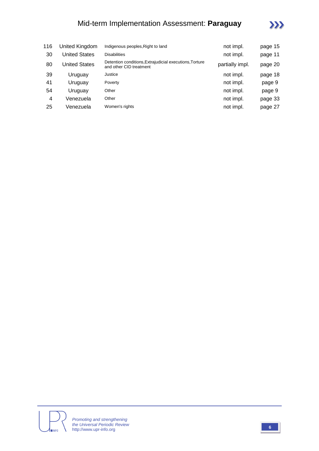### Mid-term Implementation Assessment: **Paraguay**



| 116 | United Kingdom       | Indigenous peoples, Right to land                                                  | not impl.       | page 15 |
|-----|----------------------|------------------------------------------------------------------------------------|-----------------|---------|
| 30  | United States        | <b>Disabilities</b>                                                                | not impl.       | page 11 |
| 80  | <b>United States</b> | Detention conditions, Extrajudicial executions, Torture<br>and other CID treatment | partially impl. | page 20 |
| 39  | Uruguay              | Justice                                                                            | not impl.       | page 18 |
| 41  | Uruguay              | Poverty                                                                            | not impl.       | page 9  |
| 54  | Uruguay              | Other                                                                              | not impl.       | page 9  |
| 4   | Venezuela            | Other                                                                              | not impl.       | page 33 |
| 25  | Venezuela            | Women's rights                                                                     | not impl.       | page 27 |
|     |                      |                                                                                    |                 |         |



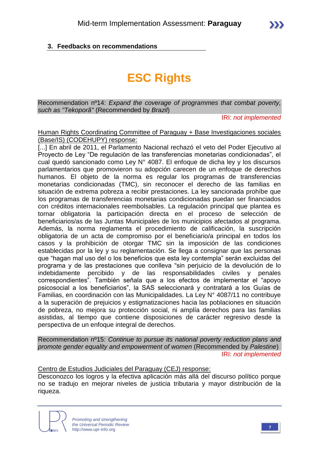### **3. Feedbacks on recommendations**

# **ESC Rights**

Recommendation nº14: *Expand the coverage of programmes that combat poverty, such as "Tekoporã"* (Recommended by *Brazil*)

IRI: *not implemented*

Human Rights Coordinating Committee of Paraguay + Base Investigaciones sociales (Base/IS) (CODEHUPY) response:

[...] En abril de 2011, el Parlamento Nacional rechazó el veto del Poder Ejecutivo al Proyecto de Ley "De regulación de las transferencias monetarias condicionadas", el cual quedó sancionado como Ley N° 4087. El enfoque de dicha ley y los discursos parlamentarios que promovieron su adopción carecen de un enfoque de derechos humanos. El objeto de la norma es regular los programas de transferencias monetarias condicionadas (TMC), sin reconocer el derecho de las familias en situación de extrema pobreza a recibir prestaciones. La ley sancionada prohíbe que los programas de transferencias monetarias condicionadas puedan ser financiados con créditos internacionales reembolsables. La regulación principal que plantea es tornar obligatoria la participación directa en el proceso de selección de beneficiarios/as de las Juntas Municipales de los municipios afectados al programa. Además, la norma reglamenta el procedimiento de calificación, la suscripción obligatoria de un acta de compromiso por el beneficiario/a principal en todos los casos y la prohibición de otorgar TMC sin la imposición de las condiciones establecidas por la ley y su reglamentación. Se llega a consignar que las personas que "hagan mal uso del o los beneficios que esta ley contempla" serán excluidas del programa y de las prestaciones que conlleva "sin perjuicio de la devolución de lo indebidamente percibido y de las responsabilidades civiles y penales correspondientes". También señala que a los efectos de implementar el "apoyo psicosocial a los beneficiarios", la SAS seleccionará y contratará a los Guías de Familias, en coordinación con las Municipalidades. La Ley N° 4087/11 no contribuye a la superación de prejuicios y estigmatizaciones hacia las poblaciones en situación de pobreza, no mejora su protección social, ni amplía derechos para las familias asistidas, al tiempo que contiene disposiciones de carácter regresivo desde la perspectiva de un enfoque integral de derechos.

Recommendation nº15: *Continue to pursue its national poverty reduction plans and promote gender equality and empowerment of women* (Recommended by *Palestine*) IRI: *not implemented*

Centro de Estudios Judiciales del Paraguay (CEJ) response:

Desconozco los logros y la efectiva aplicación más allá del discurso político porque no se tradujo en mejorar niveles de justicia tributaria y mayor distribución de la riqueza.

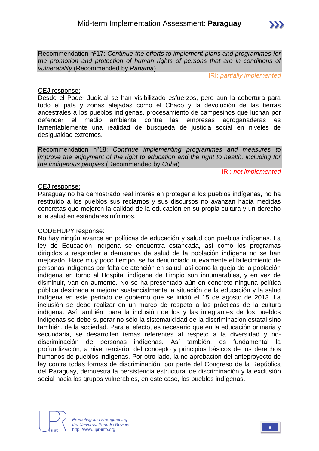Recommendation nº17: *Continue the efforts to implement plans and programmes for the promotion and protection of human rights of persons that are in conditions of vulnerability* (Recommended by *Panama*)

IRI: *partially implemented*

#### CEJ response:

Desde el Poder Judicial se han visibilizado esfuerzos, pero aún la cobertura para todo el país y zonas alejadas como el Chaco y la devolución de las tierras ancestrales a los pueblos indígenas, procesamiento de campesinos que luchan por defender el medio ambiente contra las empresas agroganaderas es lamentablemente una realidad de búsqueda de justicia social en niveles de desigualdad extremos.

Recommendation nº18: *Continue implementing programmes and measures to improve the enjoyment of the right to education and the right to health, including for the indigenous peoples* (Recommended by *Cuba*)

IRI: *not implemented*

#### CEJ response:

Paraguay no ha demostrado real interés en proteger a los pueblos indígenas, no ha restituido a los pueblos sus reclamos y sus discursos no avanzan hacia medidas concretas que mejoren la calidad de la educación en su propia cultura y un derecho a la salud en estándares mínimos.

#### CODEHUPY response:

No hay ningún avance en políticas de educación y salud con pueblos indígenas. La ley de Educación indígena se encuentra estancada, así como los programas dirigidos a responder a demandas de salud de la población indígena no se han mejorado. Hace muy poco tiempo, se ha denunciado nuevamente el fallecimiento de personas indígenas por falta de atención en salud, así como la queja de la población indígena en torno al Hospital indígena de Limpio son innumerables, y en vez de disminuir, van en aumento. No se ha presentado aún en concreto ninguna política pública destinada a mejorar sustancialmente la situación de la educación y la salud indígena en este periodo de gobierno que se inició el 15 de agosto de 2013. La inclusión se debe realizar en un marco de respeto a las prácticas de la cultura indígena. Así también, para la inclusión de los y las integrantes de los pueblos indígenas se debe superar no sólo la sistematicidad de la discriminación estatal sino también, de la sociedad. Para el efecto, es necesario que en la educación primaria y secundaria, se desarrollen temas referentes al respeto a la diversidad y nodiscriminación de personas indígenas. Así también, es fundamental la profundización, a nivel terciario, del concepto y principios básicos de los derechos humanos de pueblos indígenas. Por otro lado, la no aprobación del anteproyecto de ley contra todas formas de discriminación, por parte del Congreso de la República del Paraguay, demuestra la persistencia estructural de discriminación y la exclusión social hacia los grupos vulnerables, en este caso, los pueblos indígenas.

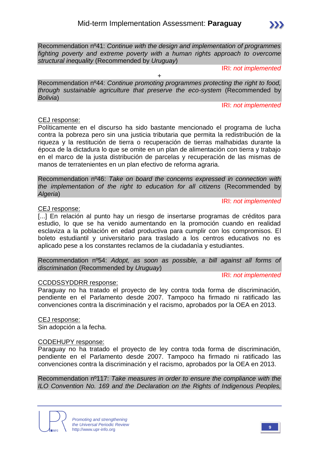Recommendation nº41: *Continue with the design and implementation of programmes fighting poverty and extreme poverty with a human rights approach to overcome structural inequality* (Recommended by *Uruguay*)

IRI: *not implemented*

Recommendation nº44: *Continue promoting programmes protecting the right to food, through sustainable agriculture that preserve the eco-system* (Recommended by *Bolivia*)

+

IRI: *not implemented*

#### CEJ response:

Políticamente en el discurso ha sido bastante mencionado el programa de lucha contra la pobreza pero sin una justicia tributaria que permita la redistribución de la riqueza y la restitución de tierra o recuperación de tierras malhabidas durante la época de la dictadura lo que se omite en un plan de alimentación con tierra y trabajo en el marco de la justa distribución de parcelas y recuperación de las mismas de manos de terratenientes en un plan efectivo de reforma agraria.

Recommendation nº46: *Take on board the concerns expressed in connection with the implementation of the right to education for all citizens* (Recommended by *Algeria*)

IRI: *not implemented*

#### CEJ response:

[...] En relación al punto hay un riesgo de insertarse programas de créditos para estudio, lo que se ha venido aumentando en la promoción cuando en realidad esclaviza a la población en edad productiva para cumplir con los compromisos. El boleto estudiantil y universitario para traslado a los centros educativos no es aplicado pese a los constantes reclamos de la ciudadanìa y estudiantes.

Recommendation nº54: *Adopt, as soon as possible, a bill against all forms of discrimination* (Recommended by *Uruguay*)

IRI: *not implemented*

#### CCDDSSYDDRR response:

Paraguay no ha tratado el proyecto de ley contra toda forma de discriminación, pendiente en el Parlamento desde 2007. Tampoco ha firmado ni ratificado las convenciones contra la discriminación y el racismo, aprobados por la OEA en 2013.

CEJ response: Sin adopción a la fecha.

#### CODEHUPY response:

Paraguay no ha tratado el proyecto de ley contra toda forma de discriminación, pendiente en el Parlamento desde 2007. Tampoco ha firmado ni ratificado las convenciones contra la discriminación y el racismo, aprobados por la OEA en 2013.

Recommendation nº117: *Take measures in order to ensure the compliance with the ILO Convention No. 169 and the Declaration on the Rights of Indigenous Peoples,* 

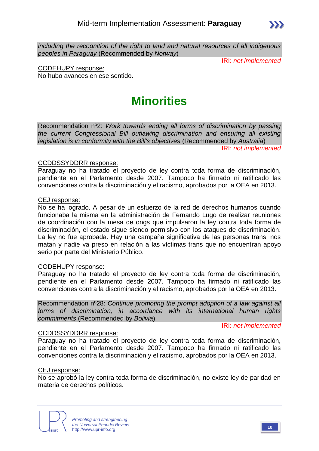*including the recognition of the right to land and natural resources of all indigenous peoples in Paraguay* (Recommended by *Norway*)

IRI: *not implemented*

CODEHUPY response: No hubo avances en ese sentido.

# **Minorities**

Recommendation nº2: *Work towards ending all forms of discrimination by passing the current Congressional Bill outlawing discrimination and ensuring all existing legislation is in conformity with the Bill's objectives* (Recommended by *Australia*)

IRI: *not implemented*

#### CCDDSSYDDRR response:

Paraguay no ha tratado el proyecto de ley contra toda forma de discriminación, pendiente en el Parlamento desde 2007. Tampoco ha firmado ni ratificado las convenciones contra la discriminación y el racismo, aprobados por la OEA en 2013.

#### CEJ response:

No se ha logrado. A pesar de un esfuerzo de la red de derechos humanos cuando funcionaba la misma en la administración de Fernando Lugo de realizar reuniones de coordinación con la mesa de ongs que impulsaron la ley contra toda forma de discriminación, el estado sigue siendo permisivo con los ataques de discriminación. La ley no fue aprobada. Hay una campaña significativa de las personas trans: nos matan y nadie va preso en relación a las víctimas trans que no encuentran apoyo serio por parte del Ministerio Público.

#### CODEHUPY response:

Paraguay no ha tratado el proyecto de ley contra toda forma de discriminación, pendiente en el Parlamento desde 2007. Tampoco ha firmado ni ratificado las convenciones contra la discriminación y el racismo, aprobados por la OEA en 2013.

Recommendation nº28: *Continue promoting the prompt adoption of a law against all forms of discrimination, in accordance with its international human rights commitments* (Recommended by *Bolivia*)

IRI: *not implemented*

#### CCDDSSYDDRR response:

Paraguay no ha tratado el proyecto de ley contra toda forma de discriminación, pendiente en el Parlamento desde 2007. Tampoco ha firmado ni ratificado las convenciones contra la discriminación y el racismo, aprobados por la OEA en 2013.

#### CEJ response:

No se aprobó la ley contra toda forma de discriminación, no existe ley de paridad en materia de derechos políticos.

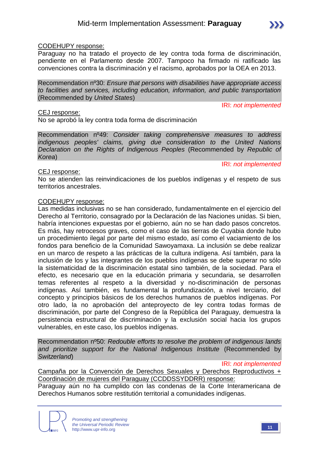Paraguay no ha tratado el proyecto de ley contra toda forma de discriminación, pendiente en el Parlamento desde 2007. Tampoco ha firmado ni ratificado las convenciones contra la discriminación y el racismo, aprobados por la OEA en 2013.

Recommendation nº30: *Ensure that persons with disabilities have appropriate access to facilities and services, including education, information, and public transportation*  (Recommended by *United States*)

CEJ response:

No se aprobó la ley contra toda forma de discriminación

Recommendation nº49: *Consider taking comprehensive measures to address indigenous peoples' claims, giving due consideration to the United Nations Declaration on the Rights of Indigenous Peoples* (Recommended by *Republic of Korea*)

#### CEJ response:

IRI: *not implemented*

IRI: *not implemented*

No se atienden las reinvindicaciones de los pueblos indígenas y el respeto de sus territorios ancestrales.

#### CODEHUPY response:

Las medidas inclusivas no se han considerado, fundamentalmente en el ejercicio del Derecho al Territorio, consagrado por la Declaración de las Naciones unidas. Si bien, habría intenciones expuestas por el gobierno, aún no se han dado pasos concretos. Es más, hay retrocesos graves, como el caso de las tierras de Cuyabia donde hubo un procedimiento ilegal por parte del mismo estado, así como el vaciamiento de los fondos para beneficio de la Comunidad Sawoyamaxa. La inclusión se debe realizar en un marco de respeto a las prácticas de la cultura indígena. Así también, para la inclusión de los y las integrantes de los pueblos indígenas se debe superar no sólo la sistematicidad de la discriminación estatal sino también, de la sociedad. Para el efecto, es necesario que en la educación primaria y secundaria, se desarrollen temas referentes al respeto a la diversidad y no-discriminación de personas indígenas. Así también, es fundamental la profundización, a nivel terciario, del concepto y principios básicos de los derechos humanos de pueblos indígenas. Por otro lado, la no aprobación del anteproyecto de ley contra todas formas de discriminación, por parte del Congreso de la República del Paraguay, demuestra la persistencia estructural de discriminación y la exclusión social hacia los grupos vulnerables, en este caso, los pueblos indígenas.

Recommendation nº50: *Redouble efforts to resolve the problem of indigenous lands and prioritize support for the National Indigenous Institute* (Recommended by *Switzerland*)

IRI: *not implemented*

Campaña por la Convención de Derechos Sexuales y Derechos Reproductivos + Coordinación de mujeres del Paraguay (CCDDSSYDDRR) response:

Paraguay aún no ha cumplido con las condenas de la Corte Interamericana de Derechos Humanos sobre restitutión territorial a comunidades indígenas.

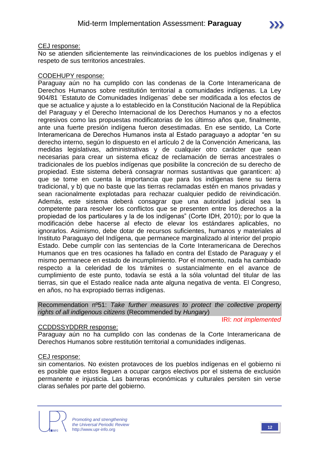

#### CEJ response:

No se atienden sificientemente las reinvindicaciones de los pueblos indígenas y el respeto de sus territorios ancestrales.

#### CODEHUPY response:

Paraguay aún no ha cumplido con las condenas de la Corte Interamericana de Derechos Humanos sobre restitutión territorial a comunidades indígenas. La Ley 904/81 ¨Estatuto de Comunidades Indígenas¨ debe ser modificada a los efectos de que se actualice y ajuste a lo establecido en la Constitución Nacional de la República del Paraguay y el Derecho Internacional de los Derechos Humanos y no a efectos regresivos como las propuestas modificatorias de los últimso años que, finalmente, ante una fuerte presión indígena fueron desestimadas. En ese sentido, La Corte Interamericana de Derechos Humanos insta al Estado paraguayo a adoptar "en su derecho interno, según lo dispuesto en el artículo 2 de la Convención Americana, las medidas legislativas, administrativas y de cualquier otro carácter que sean necesarias para crear un sistema eficaz de reclamación de tierras ancestrales o tradicionales de los pueblos indígenas que posibilite la concreción de su derecho de propiedad. Este sistema deberá consagrar normas sustantivas que garanticen: a) que se tome en cuenta la importancia que para los indígenas tiene su tierra tradicional, y b) que no baste que las tierras reclamadas estén en manos privadas y sean racionalmente explotadas para rechazar cualquier pedido de reivindicación. Además, este sistema deberá consagrar que una autoridad judicial sea la competente para resolver los conflictos que se presenten entre los derechos a la propiedad de los particulares y la de los indígenas" (Corte IDH, 2010); por lo que la modificación debe hacerse al efecto de elevar los estándares aplicables, no ignorarlos. Asimismo, debe dotar de recursos suficientes, humanos y materiales al Instituto Paraguayo del Indígena, que permanece marginalizado al interior del propio Estado. Debe cumplir con las sentencias de la Corte Interamericana de Derechos Humanos que en tres ocasiones ha fallado en contra del Estado de Paraguay y el mismo permanece en estado de incumplimiento. Por el momento, nada ha cambiado respecto a la celeridad de los trámites o sustancialmente en el avance de cumplimiento de este punto, todavía se está a la sóla voluntad del titular de las tierras, sin que el Estado realice nada ante alguna negativa de venta. El Congreso, en años, no ha expropiado tierras indígenas.

#### Recommendation nº51: *Take further measures to protect the collective property rights of all indigenous citizens* (Recommended by *Hungary*)

IRI: *not implemented*

#### CCDDSSYDDRR response:

Paraguay aún no ha cumplido con las condenas de la Corte Interamericana de Derechos Humanos sobre restitutión territorial a comunidades indígenas.

#### CEJ response:

sin comentarios. No existen protavoces de los pueblos indígenas en el gobierno ni es posible que estos lleguen a ocupar cargos electivos por el sistema de exclusión permanente e injusticia. Las barreras económicas y culturales persiten sin verse claras señales por parte del gobierno.

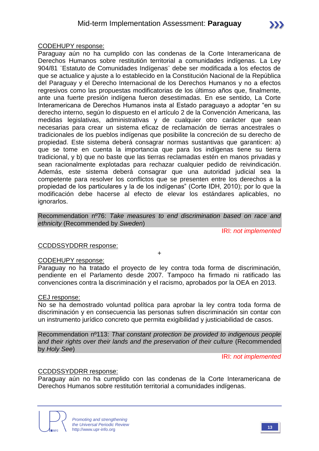#### CODEHUPY response:

Paraguay aún no ha cumplido con las condenas de la Corte Interamericana de Derechos Humanos sobre restitutión territorial a comunidades indígenas. La Ley 904/81 ¨Estatuto de Comunidades Indígenas¨ debe ser modificada a los efectos de que se actualice y ajuste a lo establecido en la Constitución Nacional de la República del Paraguay y el Derecho Internacional de los Derechos Humanos y no a efectos regresivos como las propuestas modificatorias de los últimso años que, finalmente, ante una fuerte presión indígena fueron desestimadas. En ese sentido, La Corte Interamericana de Derechos Humanos insta al Estado paraguayo a adoptar "en su derecho interno, según lo dispuesto en el artículo 2 de la Convención Americana, las medidas legislativas, administrativas y de cualquier otro carácter que sean necesarias para crear un sistema eficaz de reclamación de tierras ancestrales o tradicionales de los pueblos indígenas que posibilite la concreción de su derecho de propiedad. Este sistema deberá consagrar normas sustantivas que garanticen: a) que se tome en cuenta la importancia que para los indígenas tiene su tierra tradicional, y b) que no baste que las tierras reclamadas estén en manos privadas y sean racionalmente explotadas para rechazar cualquier pedido de reivindicación. Además, este sistema deberá consagrar que una autoridad judicial sea la competente para resolver los conflictos que se presenten entre los derechos a la propiedad de los particulares y la de los indígenas" (Corte IDH, 2010); por lo que la modificación debe hacerse al efecto de elevar los estándares aplicables, no ignorarlos.

Recommendation nº76: *Take measures to end discrimination based on race and ethnicity* (Recommended by *Sweden*)

IRI: *not implemented*

#### CCDDSSYDDRR response:

+

#### CODEHUPY response:

Paraguay no ha tratado el proyecto de ley contra toda forma de discriminación, pendiente en el Parlamento desde 2007. Tampoco ha firmado ni ratificado las convenciones contra la discriminación y el racismo, aprobados por la OEA en 2013.

#### CEJ response:

No se ha demostrado voluntad política para aprobar la ley contra toda forma de discriminación y en consecuencia las personas sufren discriminación sin contar con un instrumento jurídico concreto que permita exigibilidad y justiciabilidad de casos.

Recommendation nº113: *That constant protection be provided to indigenous people*  and their rights over their lands and the preservation of their culture (Recommended by *Holy See*)

IRI: *not implemented*

#### CCDDSSYDDRR response:

Paraguay aún no ha cumplido con las condenas de la Corte Interamericana de Derechos Humanos sobre restitutión territorial a comunidades indígenas.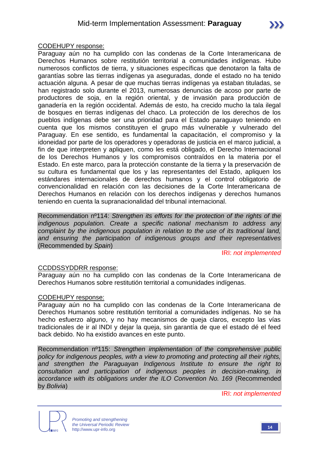#### CODEHUPY response:

Paraguay aún no ha cumplido con las condenas de la Corte Interamericana de Derechos Humanos sobre restitutión territorial a comunidades indígenas. Hubo numerosos conflictos de tierra, y situaciones específicas que denotaron la falta de garantías sobre las tierras indígenas ya aseguradas, donde el estado no ha tenido actuación alguna. A pesar de que muchas tierras indígenas ya estaban tituladas, se han registrado solo durante el 2013, numerosas denuncias de acoso por parte de productores de soja, en la región oriental, y de invasión para producción de ganadería en la región occidental. Además de esto, ha crecido mucho la tala ilegal de bosques en tierras indígenas del chaco. La protección de los derechos de los pueblos indígenas debe ser una prioridad para el Estado paraguayo teniendo en cuenta que los mismos constituyen el grupo más vulnerable y vulnerado del Paraguay. En ese sentido, es fundamental la capacitación, el compromiso y la idoneidad por parte de los operadores y operadoras de justicia en el marco judicial, a fin de que interpreten y apliquen, como les está obligado, el Derecho Internacional de los Derechos Humanos y los compromisos contraídos en la materia por el Estado. En este marco, para la protección constante de la tierra y la preservación de su cultura es fundamental que los y las representantes del Estado, apliquen los estándares internacionales de derechos humanos y el control obligatorio de convencionalidad en relación con las decisiones de la Corte Interamericana de Derechos Humanos en relación con los derechos indígenas y derechos humanos teniendo en cuenta la supranacionalidad del tribunal internacional.

Recommendation nº114: *Strengthen its efforts for the protection of the rights of the indigenous population. Create a specific national mechanism to address any complaint by the indigenous population in relation to the use of its traditional land, and ensuring the participation of indigenous groups and their representatives*  (Recommended by *Spain*)

IRI: *not implemented*

#### CCDDSSYDDRR response:

Paraguay aún no ha cumplido con las condenas de la Corte Interamericana de Derechos Humanos sobre restitutión territorial a comunidades indígenas.

#### CODEHUPY response:

Paraguay aún no ha cumplido con las condenas de la Corte Interamericana de Derechos Humanos sobre restitutión territorial a comunidades indígenas. No se ha hecho esfuerzo alguno, y no hay mecanismos de queja claros, excepto las vías tradicionales de ir al INDI y dejar la queja, sin garantía de que el estado dé el feed back debido. No ha existido avances en este punto.

Recommendation nº115: *Strengthen implementation of the comprehensive public policy for indigenous peoples, with a view to promoting and protecting all their rights, and strengthen the Paraguayan Indigenous Institute to ensure the right to consultation and participation of indigenous peoples in decision-making, in*  accordance with its obligations under the ILO Convention No. 169 (Recommended by *Bolivia*)

IRI: *not implemented*

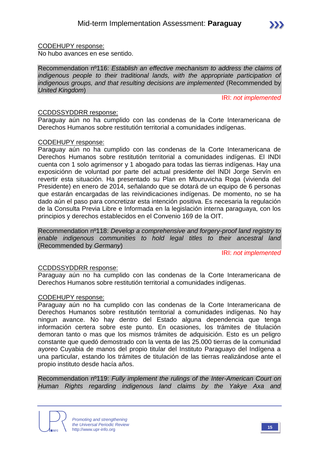

#### CODEHUPY response:

No hubo avances en ese sentido.

Recommendation nº116: *Establish an effective mechanism to address the claims of*  indigenous people to their traditional lands, with the appropriate participation of *indigenous groups, and that resulting decisions are implemented (Recommended by United Kingdom*)

IRI: *not implemented*

#### CCDDSSYDDRR response:

Paraguay aún no ha cumplido con las condenas de la Corte Interamericana de Derechos Humanos sobre restitutión territorial a comunidades indígenas.

#### CODEHUPY response:

Paraguay aún no ha cumplido con las condenas de la Corte Interamericana de Derechos Humanos sobre restitutión territorial a comunidades indígenas. El INDI cuenta con 1 solo agrimensor y 1 abogado para todas las tierras indígenas. Hay una exposiciónn de voluntad por parte del actual presidente del INDI Jorge Servín en revertir esta situación. Ha presentado su Plan en Mburuvicha Roga (vivienda del Presidente) en enero de 2014, señalando que se dotará de un equipo de 6 personas que estarán encargadas de las reivindicaciones indígenas. De momento, no se ha dado aún el paso para concretizar esta intención positiva. Es necesaria la regulación de la Consulta Previa Libre e Informada en la legislación interna paraguaya, con los principios y derechos establecidos en el Convenio 169 de la OIT.

Recommendation nº118: *Develop a comprehensive and forgery-proof land registry to enable indigenous communities to hold legal titles to their ancestral land*  (Recommended by *Germany*)

IRI: *not implemented*

#### CCDDSSYDDRR response:

Paraguay aún no ha cumplido con las condenas de la Corte Interamericana de Derechos Humanos sobre restitutión territorial a comunidades indígenas.

#### CODEHUPY response:

Paraguay aún no ha cumplido con las condenas de la Corte Interamericana de Derechos Humanos sobre restitutión territorial a comunidades indígenas. No hay ningun avance. No hay dentro del Estado alguna dependencia que tenga información certera sobre este punto. En ocasiones, los trámites de titulación demoran tanto o mas que los mismos trámites de adquisición. Esto es un peligro constante que quedó demostrado con la venta de las 25.000 tierras de la comunidad ayoreo Cuyabia de manos del propio titular del Instituto Paraguayo del Indígena a una particular, estando los trámites de titulación de las tierras realizándose ante el propio instituto desde hacía años.

Recommendation nº119: *Fully implement the rulings of the Inter-American Court on Human Rights regarding indigenous land claims by the Yakye Axa and* 



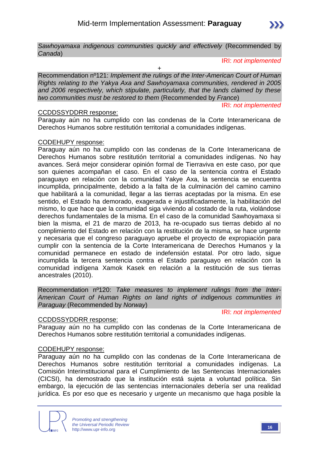*Sawhoyamaxa indigenous communities quickly and effectively* (Recommended by *Canada*)

IRI: *not implemented*

+

Recommendation nº121: *Implement the rulings of the Inter-American Court of Human Rights relating to the Yakya Axa and Sawhoyamaxa communities, rendered in 2005 and 2006 respectively, which stipulate, particularly, that the lands claimed by these two communities must be restored to them* (Recommended by *France*)

IRI: *not implemented*

#### CCDDSSYDDRR response:

Paraguay aún no ha cumplido con las condenas de la Corte Interamericana de Derechos Humanos sobre restitutión territorial a comunidades indígenas.

#### CODEHUPY response:

Paraguay aún no ha cumplido con las condenas de la Corte Interamericana de Derechos Humanos sobre restitutión territorial a comunidades indígenas. No hay avances. Será mejor considerar opinión formal de Tierraviva en este caso, por que son quienes acompañan el caso. En el caso de la sentencia contra el Estado paraguayo en relación con la comunidad Yakye Axa, la sentencia se encuentra incumplida, principalmente, debido a la falta de la culminación del camino camino que habilitará a la comunidad, llegar a las tierras aceptadas por la misma. En ese sentido, el Estado ha demorado, exagerada e injustificadamente, la habilitación del mismo, lo que hace que la comunidad siga viviendo al costado de la ruta, violándose derechos fundamentales de la misma. En el caso de la comunidad Sawhoyamaxa si bien la misma, el 21 de marzo de 2013, ha re-ocupado sus tierras debido al no complimiento del Estado en relación con la restitución de la misma, se hace urgente y necesaria que el congreso paraguayo apruebe el proyecto de expropiación para cumplir con la sentencia de la Corte Interamericana de Derechos Humanos y la comunidad permanece en estado de indefensión estatal. Por otro lado, sigue incumplida la tercera sentencia contra el Estado paraguayo en relación con la comunidad indígena Xamok Kasek en relación a la restitución de sus tierras ancestrales (2010).

Recommendation nº120: *Take measures to implement rulings from the Inter-American Court of Human Rights on land rights of indigenous communities in Paraguay* (Recommended by *Norway*)

IRI: *not implemented*

#### CCDDSSYDDRR response:

Paraguay aún no ha cumplido con las condenas de la Corte Interamericana de Derechos Humanos sobre restitutión territorial a comunidades indígenas.

#### CODEHUPY response:

Paraguay aún no ha cumplido con las condenas de la Corte Interamericana de Derechos Humanos sobre restitutión territorial a comunidades indígenas. La Comisión Interinstitucional para el Cumplimiento de las Sentencias Internacionales (CICSI), ha demostrado que la institución está sujeta a voluntad política. Sin embargo, la ejecución de las sentencias internacionales debería ser una realidad jurídica. Es por eso que es necesario y urgente un mecanismo que haga posible la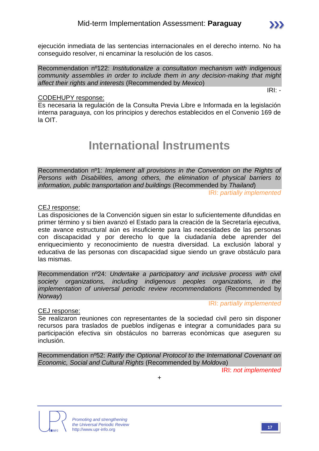

ejecución inmediata de las sentencias internacionales en el derecho interno. No ha conseguido resolver, ni encaminar la resolución de los casos.

Recommendation nº122: *Institutionalize a consultation mechanism with indigenous community assemblies in order to include them in any decision-making that might affect their rights and interests* (Recommended by *Mexico*)

IRI: *-*

#### CODEHUPY response:

Es necesaria la regulación de la Consulta Previa Libre e Informada en la legislación interna paraguaya, con los principios y derechos establecidos en el Convenio 169 de la OIT.

## **International Instruments**

Recommendation nº1: *Implement all provisions in the Convention on the Rights of Persons with Disabilities, among others, the elimination of physical barriers to information, public transportation and buildings* (Recommended by *Thailand*)

IRI: *partially implemented*

#### CEJ response:

Las disposiciones de la Convención siguen sin estar lo suficientemente difundidas en primer término y si bien avanzó el Estado para la creación de la Secretaría ejecutiva, este avance estructural aún es insuficiente para las necesidades de las personas con discapacidad y por derecho lo que la ciudadanía debe aprender del enriquecimiento y reconocimiento de nuestra diversidad. La exclusión laboral y educativa de las personas con discapacidad sigue siendo un grave obstáculo para las mismas.

Recommendation nº24: *Undertake a participatory and inclusive process with civil society organizations, including indigenous peoples organizations, in the implementation of universal periodic review recommendations* (Recommended by *Norway*)

#### CEJ response:

#### IRI: *partially implemented*

Se realizaron reuniones con representantes de la sociedad civil pero sin disponer recursos para traslados de pueblos indígenas e integrar a comunidades para su participación efectiva sin obstáculos no barreras econòmicas que aseguren su inclusión.

Recommendation nº52: *Ratify the Optional Protocol to the International Covenant on Economic, Social and Cultural Rights* (Recommended by *Moldova*)

+

IRI: *not implemented*



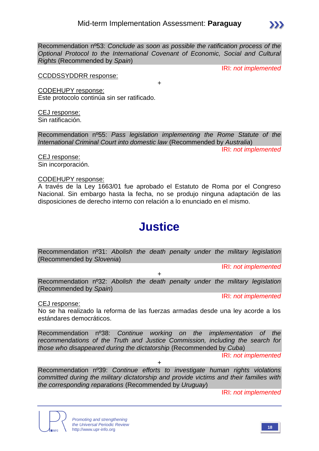Recommendation nº53: *Conclude as soon as possible the ratification process of the Optional Protocol to the International Covenant of Economic, Social and Cultural Rights* (Recommended by *Spain*)

+

IRI: *not implemented*

 $\sum$ 

CCDDSSYDDRR response:

CODEHUPY response: Este protocolo continúa sin ser ratificado.

CEJ response: Sin ratificación.

Recommendation nº55: *Pass legislation implementing the Rome Statute of the International Criminal Court into domestic law* (Recommended by *Australia*)

IRI: *not implemented*

CEJ response: Sin incorporación.

#### CODEHUPY response:

A través de la Ley 1663/01 fue aprobado el Estatuto de Roma por el Congreso Nacional. Sin embargo hasta la fecha, no se produjo ninguna adaptación de las disposiciones de derecho interno con relación a lo enunciado en el mismo.

## **Justice**

Recommendation nº31: *Abolish the death penalty under the military legislation*  (Recommended by *Slovenia*)

IRI: *not implemented*

 $\ddot{\phantom{1}}$ 

Recommendation nº32: *Abolish the death penalty under the military legislation*  (Recommended by *Spain*)

IRI: *not implemented*

CEJ response:

No se ha realizado la reforma de las fuerzas armadas desde una ley acorde a los estándares democráticos.

Recommendation nº38: *Continue working on the implementation of the recommendations of the Truth and Justice Commission, including the search for those who disappeared during the dictatorship* (Recommended by *Cuba*)

IRI: *not implemented*

Recommendation nº39: *Continue efforts to investigate human rights violations committed during the military dictatorship and provide victims and their families with the corresponding reparations* (Recommended by *Uruguay*)

 $\ddot{\phantom{1}}$ 

IRI: *not implemented*

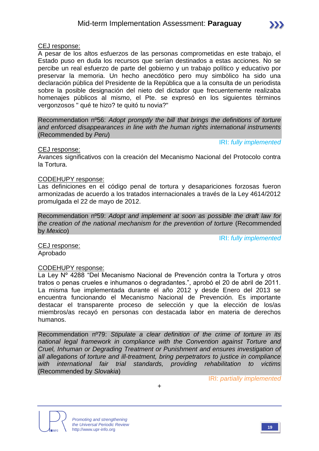CEJ response:

A pesar de los altos esfuerzos de las personas comprometidas en este trabajo, el Estado puso en duda los recursos que serían destinados a estas acciones. No se percibe un real esfuerzo de parte del gobierno y un trabajo político y educativo por preservar la memoria. Un hecho anecdótico pero muy simbòlico ha sido una declaración pública del Presidente de la Repùblica que a la consulta de un periodista sobre la posible designación del nieto del dictador que frecuentemente realizaba homenajes públicos al mismo, el Pte. se expresó en los siguientes términos vergonzosos " qué te hizo? te quitó tu novia?"

Recommendation nº56: *Adopt promptly the bill that brings the definitions of torture and enforced disappearances in line with the human rights international instruments*  (Recommended by *Peru*)

IRI: *fully implemented*

#### CEJ response:

Avances significativos con la creación del Mecanismo Nacional del Protocolo contra la Tortura.

#### CODEHUPY response:

Las definiciones en el código penal de tortura y desapariciones forzosas fueron armonizadas de acuerdo a los tratados internacionales a través de la Ley 4614/2012 promulgada el 22 de mayo de 2012.

Recommendation nº59: *Adopt and implement at soon as possible the draft law for the creation of the national mechanism for the prevention of torture* (Recommended by *Mexico*)

IRI: *fully implemented*

CEJ response: Aprobado

#### CODEHUPY response:

La Ley Nº 4288 "Del Mecanismo Nacional de Prevención contra la Tortura y otros tratos o penas crueles e inhumanos o degradantes.", aprobó el 20 de abril de 2011. La misma fue implementada durante el año 2012 y desde Enero del 2013 se encuentra funcionando el Mecanismo Nacional de Prevención. Es importante destacar el transparente proceso de selección y que la elección de los/as miembros/as recayó en personas con destacada labor en materia de derechos humanos.

Recommendation nº79: *Stipulate a clear definition of the crime of torture in its national legal framework in compliance with the Convention against Torture and Cruel, Inhuman or Degrading Treatment or Punishment and ensures investigation of all allegations of torture and ill-treatment, bring perpetrators to justice in compliance with international fair trial standards, providing rehabilitation to victims* (Recommended by *Slovakia*)

+

IRI: *partially implemented*



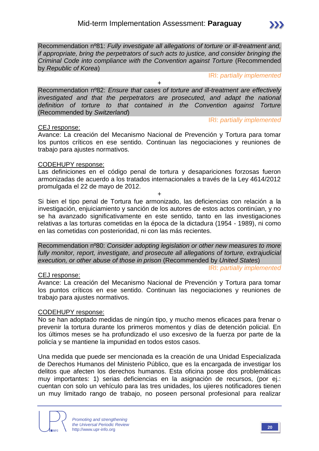Recommendation nº81: *Fully investigate all allegations of torture or ill-treatment and, if appropriate, bring the perpetrators of such acts to justice, and consider bringing the Criminal Code into compliance with the Convention against Torture (Recommended* by *Republic of Korea*)

IRI: *partially implemented*

IRI: *partially implemented*

Recommendation nº82: *Ensure that cases of torture and ill-treatment are effectively investigated and that the perpetrators are prosecuted, and adapt the national definition of torture to that contained in the Convention against Torture*  (Recommended by *Switzerland*)

+

#### CEJ response:

Avance: La creación del Mecanismo Nacional de Prevención y Tortura para tomar los puntos críticos en ese sentido. Continuan las negociaciones y reuniones de trabajo para ajustes normativos.

#### CODEHUPY response:

Las definiciones en el código penal de tortura y desapariciones forzosas fueron armonizadas de acuerdo a los tratados internacionales a través de la Ley 4614/2012 promulgada el 22 de mayo de 2012.

+

Si bien el tipo penal de Tortura fue armonizado, las deficiencias con relación a la investigación, enjuiciamiento y sanción de los autores de estos actos continúan, y no se ha avanzado significativamente en este sentido, tanto en las investigaciones relativas a las torturas cometidas en la época de la dictadura (1954 - 1989), ni como en las cometidas con posterioridad, ni con las más recientes.

Recommendation nº80: *Consider adopting legislation or other new measures to more fully monitor, report, investigate, and prosecute all allegations of torture, extrajudicial execution, or other abuse of those in prison* (Recommended by *United States*)

IRI: *partially implemented*

#### CEJ response:

Avance: La creación del Mecanismo Nacional de Prevención y Tortura para tomar los puntos críticos en ese sentido. Continuan las negociaciones y reuniones de trabajo para ajustes normativos.

#### CODEHUPY response:

No se han adoptado medidas de ningún tipo, y mucho menos eficaces para frenar o prevenir la tortura durante los primeros momentos y días de detención policial. En los últimos meses se ha profundizado el uso excesivo de la fuerza por parte de la policía y se mantiene la impunidad en todos estos casos.

Una medida que puede ser mencionada es la creación de una Unidad Especializada de Derechos Humanos del Ministerio Público, que es la encargada de investigar los delitos que afecten los derechos humanos. Esta oficina posee dos problemáticas muy importantes: 1) serias deficiencias en la asignación de recursos, (por ej.: cuentan con solo un vehículo para las tres unidades, los ujieres notificadores tienen un muy limitado rango de trabajo, no poseen personal profesional para realizar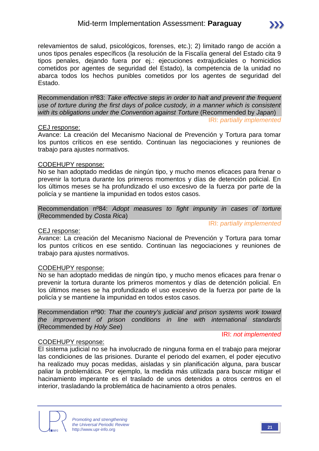

Recommendation nº83: *Take effective steps in order to halt and prevent the frequent use of torture during the first days of police custody, in a manner which is consistent with its obligations under the Convention against Torture* (Recommended by *Japan*)

IRI: *partially implemented*

#### CEJ response:

Avance: La creación del Mecanismo Nacional de Prevención y Tortura para tomar los puntos críticos en ese sentido. Continuan las negociaciones y reuniones de trabajo para ajustes normativos.

#### CODEHUPY response:

No se han adoptado medidas de ningún tipo, y mucho menos eficaces para frenar o prevenir la tortura durante los primeros momentos y días de detención policial. En los últimos meses se ha profundizado el uso excesivo de la fuerza por parte de la policía y se mantiene la impunidad en todos estos casos.

Recommendation nº84: *Adopt measures to fight impunity in cases of torture*  (Recommended by *Costa Rica*)

IRI: *partially implemented*

#### CEJ response:

Avance: La creación del Mecanismo Nacional de Prevención y Tortura para tomar los puntos críticos en ese sentido. Continuan las negociaciones y reuniones de trabajo para ajustes normativos.

#### CODEHUPY response:

No se han adoptado medidas de ningún tipo, y mucho menos eficaces para frenar o prevenir la tortura durante los primeros momentos y días de detención policial. En los últimos meses se ha profundizado el uso excesivo de la fuerza por parte de la policía y se mantiene la impunidad en todos estos casos.

Recommendation nº90: *That the country's judicial and prison systems work toward the improvement of prison conditions in line with international standards*  (Recommended by *Holy See*)

IRI: *not implemented*

#### CODEHUPY response:

El sistema judicial no se ha involucrado de ninguna forma en el trabajo para mejorar las condiciones de las prisiones. Durante el periodo del examen, el poder ejecutivo ha realizado muy pocas medidas, aisladas y sin planificación alguna, para buscar paliar la problemática. Por ejemplo, la medida más utilizada para buscar mitigar el hacinamiento imperante es el traslado de unos detenidos a otros centros en el interior, trasladando la problemática de hacinamiento a otros penales.



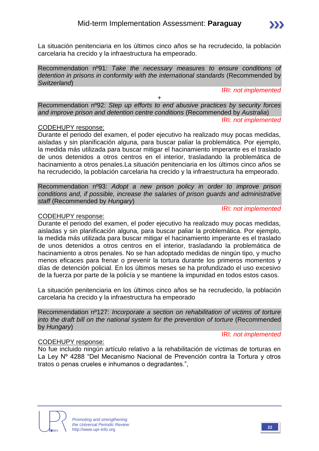La situación penitenciaria en los últimos cinco años se ha recrudecido, la población carcelaria ha crecido y la infraestructura ha empeorado.

Recommendation nº91: *Take the necessary measures to ensure conditions of detention in prisons in conformity with the international standards* (Recommended by *Switzerland*)

IRI: *not implemented*

IRI: *not implemented*

Recommendation nº92: *Step up efforts to end abusive practices by security forces and improve prison and detention centre conditions* (Recommended by *Australia*) IRI: *not implemented*

 $+$ 

#### CODEHUPY response:

Durante el periodo del examen, el poder ejecutivo ha realizado muy pocas medidas, aisladas y sin planificación alguna, para buscar paliar la problemática. Por ejemplo, la medida más utilizada para buscar mitigar el hacinamiento imperante es el traslado de unos detenidos a otros centros en el interior, trasladando la problemática de hacinamiento a otros penales.La situación penitenciaria en los últimos cinco años se ha recrudecido, la población carcelaria ha crecido y la infraestructura ha empeorado.

Recommendation nº93: *Adopt a new prison policy in order to improve prison conditions and, if possible, increase the salaries of prison guards and administrative staff* (Recommended by *Hungary*)

#### CODEHUPY response:

Durante el periodo del examen, el poder ejecutivo ha realizado muy pocas medidas, aisladas y sin planificación alguna, para buscar paliar la problemática. Por ejemplo, la medida más utilizada para buscar mitigar el hacinamiento imperante es el traslado de unos detenidos a otros centros en el interior, trasladando la problemática de hacinamiento a otros penales. No se han adoptado medidas de ningún tipo, y mucho menos eficaces para frenar o prevenir la tortura durante los primeros momentos y días de detención policial. En los últimos meses se ha profundizado el uso excesivo de la fuerza por parte de la policía y se mantiene la impunidad en todos estos casos.

La situación penitenciaria en los últimos cinco años se ha recrudecido, la población carcelaria ha crecido y la infraestructura ha empeorado

Recommendation nº127: *Incorporate a section on rehabilitation of victims of torture into the draft bill on the national system for the prevention of torture* (Recommended by *Hungary*)

IRI: *not implemented*

#### CODEHUPY response:

No fue incluido ningún artículo relativo a la rehabilitación de víctimas de torturas en La Ley Nº 4288 "Del Mecanismo Nacional de Prevención contra la Tortura y otros tratos o penas crueles e inhumanos o degradantes.",

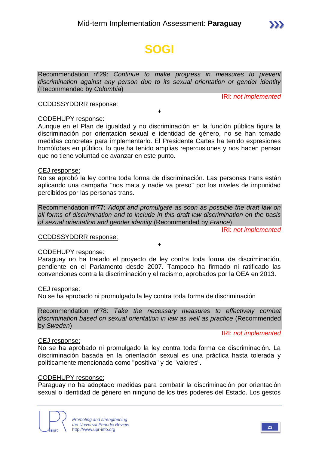# **SOGI**

Recommendation nº29: *Continue to make progress in measures to prevent discrimination against any person due to its sexual orientation or gender identity*  (Recommended by *Colombia*)

IRI: *not implemented*

#### CCDDSSYDDRR response:

+

#### CODEHUPY response:

Aunque en el Plan de igualdad y no discriminación en la función pública figura la discriminación por orientación sexual e identidad de género, no se han tomado medidas concretas para implementarlo. El Presidente Cartes ha tenido expresiones homófobas en público, lo que ha tenido amplias repercusiones y nos hacen pensar que no tiene voluntad de avanzar en este punto.

#### CEJ response:

No se aprobó la ley contra toda forma de discriminación. Las personas trans están aplicando una campaña "nos mata y nadie va preso" por los niveles de impunidad percibidos por las personas trans.

Recommendation nº77: *Adopt and promulgate as soon as possible the draft law on all forms of discrimination and to include in this draft law discrimination on the basis of sexual orientation and gender identity* (Recommended by *France*)

IRI: *not implemented*

#### CCDDSSYDDRR response:

#### CODEHUPY response:

Paraguay no ha tratado el proyecto de ley contra toda forma de discriminación, pendiente en el Parlamento desde 2007. Tampoco ha firmado ni ratificado las convenciones contra la discriminación y el racismo, aprobados por la OEA en 2013.

+

#### CEJ response:

No se ha aprobado ni promulgado la ley contra toda forma de discriminación

Recommendation nº78: *Take the necessary measures to effectively combat discrimination based on sexual orientation in law as well as practice* (Recommended by *Sweden*)

IRI: *not implemented*

#### CEJ response:

No se ha aprobado ni promulgado la ley contra toda forma de discriminación. La discriminación basada en la orientación sexual es una práctica hasta tolerada y políticamente mencionada como "positiva" y de "valores".

#### CODEHUPY response:

Paraguay no ha adoptado medidas para combatir la discriminación por orientación sexual o identidad de género en ninguno de los tres poderes del Estado. Los gestos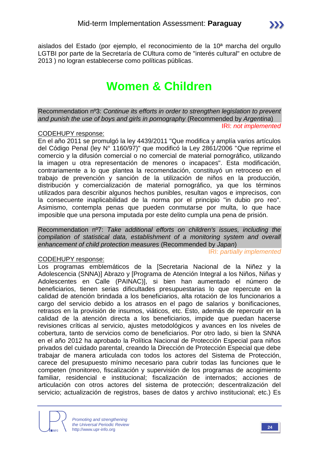aislados del Estado (por ejemplo, el reconocimiento de la 10ª marcha del orgullo LGTBI por parte de la Secretaría de CUltura como de "interés cultural" en octubre de 2013 ) no logran establecerse como políticas públicas.

# **Women & Children**

Recommendation nº3: *Continue its efforts in order to strengthen legislation to prevent and punish the use of boys and girls in pornography* (Recommended by *Argentina*) IRI: *not implemented*

#### CODEHUPY response:

En el año 2011 se promulgó la ley 4439/2011 "Que modifica y amplía varios artículos del Código Penal (ley N° 1160/97)" que modificó la Ley 2861/2006 "Que reprime el comercio y la difusión comercial o no comercial de material pornográfico, utilizando la imagen u otra representación de menores o incapaces". Esta modificación, contrariamente a lo que plantea la recomendación, constituyó un retroceso en el trabajo de prevención y sanción de la utilización de niños en la producción, distribución y comercialización de material pornográfico, ya que los términos utilizados para describir algunos hechos punibles, resultan vagos e imprecisos, con la consecuente inaplicabilidad de la norma por el principio "in dubio pro reo". Asimismo, contempla penas que pueden conmutarse por multa, lo que hace imposible que una persona imputada por este delito cumpla una pena de prisión.

Recommendation nº7: *Take additional efforts on children's issues, including the compilation of statistical data, establishment of a monitoring system and overall enhancement of child protection measures* (Recommended by *Japan*)

IRI: *partially implemented*

#### CODEHUPY response:

Los programas emblemáticos de la [Secretaria Nacional de la Niñez y la Adolescencia (SNNA)] Abrazo y [Programa de Atención Integral a los Niños, Niñas y Adolescentes en Calle (PAINAC)], si bien han aumentado el número de beneficiarios, tienen serias dificultades presupuestarias lo que repercute en la calidad de atención brindada a los beneficiarios, alta rotación de los funcionarios a cargo del servicio debido a los atrasos en el pago de salarios y bonificaciones, retrasos en la provisión de insumos, viáticos, etc. Esto, además de repercutir en la calidad de la atención directa a los beneficiarios, impide que puedan hacerse revisiones críticas al servicio, ajustes metodológicos y avances en los niveles de cobertura, tanto de servicios como de beneficiarios. Por otro lado, si bien la SNNA en el año 2012 ha aprobado la Política Nacional de Protección Especial para niños privados del cuidado parental, creando la Dirección de Protección Especial que debe trabajar de manera articulada con todos los actores del Sistema de Protección, carece del presupuesto mínimo necesario para cubrir todas las funciones que le competen (monitoreo, fiscalización y supervisión de los programas de acogimiento familiar, residencial e institucional; fiscalización de internados; acciones de articulación con otros actores del sistema de protección; descentralización del servicio; actualización de registros, bases de datos y archivo institucional: etc.) Es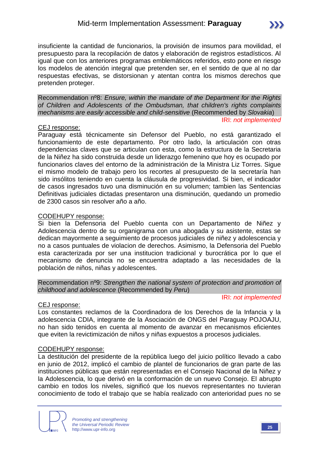insuficiente la cantidad de funcionarios, la provisión de insumos para movilidad, el presupuesto para la recopilación de datos y elaboración de registros estadísticos. Al igual que con los anteriores programas emblemáticos referidos, esto pone en riesgo los modelos de atención integral que pretenden ser, en el sentido de que al no dar respuestas efectivas, se distorsionan y atentan contra los mismos derechos que pretenden proteger.

Recommendation nº8: *Ensure, within the mandate of the Department for the Rights of Children and Adolescents of the Ombudsman, that children's rights complaints mechanisms are easily accessible and child-sensitive* (Recommended by *Slovakia*) IRI: *not implemented*

#### CEJ response:

Paraguay está técnicamente sin Defensor del Pueblo, no está garantizado el funcionamiento de este departamento. Por otro lado, la articulación con otras dependencias claves que se articulan con esta, como la estructura de la Secretaria de la Niñez ha sido construida desde un liderazgo femenino que hoy es ocupado por funcionarios claves del entorno de la administración de la Ministra Liz Torres. Sigue el mismo modelo de trabajo pero los recortes al presupuesto de la secretaría han sido insólitos teniendo en cuenta la cláusula de progresividad. Si bien, el indicador de casos ingresados tuvo una disminución en su volumen; tambien las Sentencias Definitivas judiciales dictadas presentaron una disminución, quedando un promedio de 2300 casos sin resolver año a año.

#### CODEHUPY response:

Si bien la Defensoria del Pueblo cuenta con un Departamento de Niñez y Adolescencia dentro de su organigrama con una abogada y su asistente, estas se dedican mayormente a seguimiento de procesos judiciales de niñez y adolescencia y no a casos puntuales de violacion de derechos. Asimismo, la Defensoria del Pueblo esta caracterizada por ser una institucion tradicional y burocrática por lo que el mecanismo de denuncia no se encuentra adaptado a las necesidades de la población de niños, niñas y adolescentes.

Recommendation nº9: *Strengthen the national system of protection and promotion of childhood and adolescence* (Recommended by *Peru*)

#### IRI: *not implemented*

CEJ response:

Los constantes reclamos de la Coordinadora de los Derechos de la Infancia y la adolescencia CDIA, integrante de la Asociación de ONGS del Paraguay POJOAJU, no han sido tenidos en cuenta al momento de avanzar en mecanismos eficientes que eviten la revictimización de niños y niñas expuestos a procesos judiciales.

#### CODEHUPY response:

La destitución del presidente de la república luego del juicio político llevado a cabo en junio de 2012, implicó el cambio de plantel de funcionarios de gran parte de las instituciones públicas que están representadas en el Consejo Nacional de la Niñez y la Adolescencia, lo que derivó en la conformación de un nuevo Consejo. El abrupto cambio en todos los niveles, significó que los nuevos representantes no tuvieran conocimiento de todo el trabajo que se había realizado con anterioridad pues no se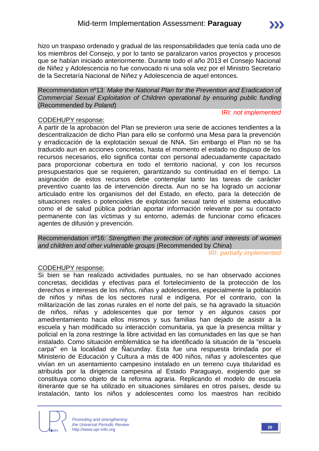hizo un traspaso ordenado y gradual de las responsabilidades que tenía cada uno de los miembros del Consejo, y por lo tanto se paralizaron varios proyectos y procesos que se habían iniciado anteriormente. Durante todo el año 2013 el Consejo Nacional de Niñez y Adolescencia no fue convocado ni una sola vez por el Ministro Secretario de la Secretaría Nacional de Niñez y Adolescencia de aquel entonces.

Recommendation nº13: *Make the National Plan for the Prevention and Eradication of Commercial Sexual Exploitation of Children operational by ensuring public funding*  (Recommended by *Poland*)

#### CODEHUPY response:

A partir de la aprobación del Plan se previeron una serie de acciones tendientes a la descentralización de dicho Plan para ello se conformó una Mesa para la prevención y erradiccación de la explotación sexual de NNA. Sin embargo el Plan no se ha traducido aun en acciones concretas, hasta el momento el estado no dispuso de los recursos necesarios, ello significa contar con personal adecuadamente capacitado para proporcionar cobertura en todo el territorio nacional, y con los recursos presupuestarios que se requieren, garantizando su continuidad en el tiempo. La asignación de estos recursos debe contemplar tanto las tareas de carácter preventivo cuanto las de intervención directa. Aun no se ha logrado un accionar articulado entre los organismos del del Estado, en efecto, para la detección de situaciones reales o potenciales de explotación sexual tanto el sistema educativo como el de salud pública podrían aportar información relevante por su contacto permanente con las víctimas y su entorno, además de funcionar como eficaces agentes de difusión y prevención.

Recommendation nº16: *Strengthen the protection of rights and interests of women and children and other vulnerable groups* (Recommended by *China*)

IRI: *partially implemented*

IRI: *not implemented*

#### CODEHUPY response:

Si bien se han realizado actividades puntuales, no se han observado acciones concretas, decididas y efectivas para el fortelecimiento de la protección de los derechos e intereses de los niños, niñas y adolescentes, especialmente la población de niños y niñas de los sectores rural e indígena. Por el contrario, con la militarización de las zonas rurales en el norte del país, se ha agravado la situación de niños, niñas y adolescentes que por temor y en algunos casos por amedrentamiento hacia ellos mismos y sus familias han dejado de asistir a la escuela y han modificado su interacción comunitaria, ya que la presencia militar y policial en la zona restringe la libre actividad en las comunidades en las que se han instalado. Como situación emblemática se ha identificado la situación de la "escuela carpa" en la localidad de Ñacunday. Esta fue una respuesta brindada por el Ministerio de Educación y Cultura a más de 400 niños, niñas y adolescentes que vivían en un asentamiento campesino instalado en un terreno cuya titularidad es atribuida por la dirigencia campesina al Estado Paraguayo, exigiendo que se constituya como objeto de la reforma agraria. Replicando el modelo de escuela itinerante que se ha utilizado en situaciones similares en otros países, desde su instalación, tanto los niños y adolescentes como los maestros han recibido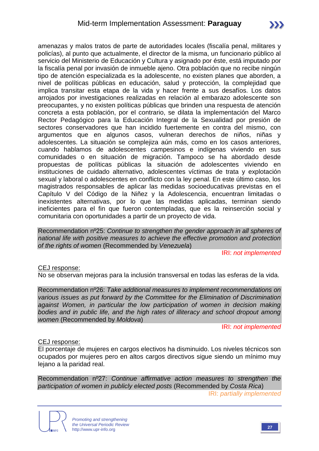amenazas y malos tratos de parte de autoridades locales (fiscalía penal, militares y policías), al punto que actualmente, el director de la misma, un funcionario público al servicio del Ministerio de Educación y Cultura y asignado por éste, está imputado por la fiscalía penal por invasión de inmueble ajeno. Otra población que no recibe ningún tipo de atención especializada es la adolescente, no existen planes que aborden, a nivel de políticas públicas en educación, salud y protección, la complejidad que implica transitar esta etapa de la vida y hacer frente a sus desafíos. Los datos arrojados por investigaciones realizadas en relación al embarazo adolescente son preocupantes, y no existen políticas públicas que brinden una respuesta de atención concreta a esta población, por el contrario, se dilata la implementación del Marco Rector Pedagógico para la Educación Integral de la Sexualidad por presión de sectores conservadores que han incidido fuertemente en contra del mismo, con argumentos que en algunos casos, vulneran derechos de niños, niñas y adolescentes. La situación se complejiza aún más, como en los casos anteriores, cuando hablamos de adolescentes campesinos e indígenas viviendo en sus comunidades o en situación de migración. Tampoco se ha abordado desde propuestas de políticas públicas la situación de adolescentes viviendo en instituciones de cuidado alternativo, adolescentes víctimas de trata y explotación sexual y laboral o adolescentes en conflicto con la ley penal. En este último caso, los magistrados responsables de aplicar las medidas socioeducativas previstas en el Capítulo V del Código de la Niñez y la Adolescencia, encuentran limitadas o inexistentes alternativas, por lo que las medidas aplicadas, terminan siendo ineficientes para el fin que fueron contempladas, que es la reinserción social y comunitaria con oportunidades a partir de un proyecto de vida.

Recommendation nº25: *Continue to strengthen the gender approach in all spheres of national life with positive measures to achieve the effective promotion and protection of the rights of women* (Recommended by *Venezuela*)

IRI: *not implemented*

#### CEJ response:

No se observan mejoras para la inclusión transversal en todas las esferas de la vida.

Recommendation nº26: *Take additional measures to implement recommendations on various issues as put forward by the Committee for the Elimination of Discrimination*  against Women, in particular the low participation of women in decision making *bodies and in public life, and the high rates of illiteracy and school dropout among women* (Recommended by *Moldova*)

IRI: *not implemented*

#### CEJ response:

El porcentaje de mujeres en cargos electivos ha disminuido. Los niveles técnicos son ocupados por mujeres pero en altos cargos directivos sigue siendo un mínimo muy lejano a la paridad real.

Recommendation nº27: *Continue affirmative action measures to strengthen the participation of women in publicly elected posts* (Recommended by *Costa Rica*) IRI: *partially implemented*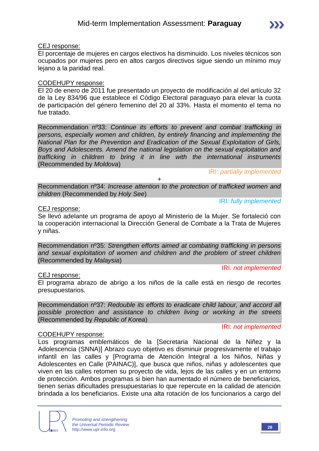#### CEJ response:

El porcentaje de mujeres en cargos electivos ha disminuido. Los niveles técnicos son ocupados por mujeres pero en altos cargos directivos sigue siendo un mínimo muy lejano a la paridad real.

#### CODEHUPY response:

El 20 de enero de 2011 fue presentado un proyecto de modificación al del artículo 32 de la Ley 834/96 que establece el Código Electoral paraguayo para elevar la cuota de participación del género femenino del 20 al 33%. Hasta el momento el tema no fue tratado.

Recommendation nº33: *Continue its efforts to prevent and combat trafficking in persons, especially women and children, by entirely financing and implementing the National Plan for the Prevention and Eradication of the Sexual Exploitation of Girls, Boys and Adolescents. Amend the national legislation on the sexual exploitation and trafficking in children to bring it in line with the international instruments*  (Recommended by *Moldova*)

IRI: *partially implemented*

Recommendation nº34: *Increase attention to the protection of trafficked women and children* (Recommended by *Holy See*)

+

IRI: *fully implemented*

#### CEJ response:

Se llevó adelante un programa de apoyo al Ministerio de la Mujer. Se fortaleció con la cooperación internacional la Dirección General de Combate a la Trata de Mujeres y niñas.

Recommendation nº35: *Strengthen efforts aimed at combating trafficking in persons and sexual exploitation of women and children and the problem of street children*  (Recommended by *Malaysia*)

IRI: *not implemented*

#### CEJ response:

El programa abrazo de abrigo a los niños de la calle está en riesgo de recortes presupuestarios.

Recommendation nº37: *Redouble its efforts to eradicate child labour, and accord all possible protection and assistance to children living or working in the streets*  (Recommended by *Republic of Korea*)

IRI: *not implemented*

#### CODEHUPY response:

Los programas emblemáticos de la [Secretaria Nacional de la Niñez y la Adolescencia (SNNA)] Abrazo cuyo objetivo es disminuir progresivamente el trabajo infantil en las calles y [Programa de Atención Integral a los Niños, Niñas y Adolescentes en Calle (PAINAC)], que busca que niños, niñas y adolescentes que viven en las calles retomen su proyecto de vida, lejos de las calles y en un entorno de protección. Ambos programas si bien han aumentado el número de beneficiarios, tienen serias dificultades presupuestarias lo que repercute en la calidad de atención brindada a los beneficiarios. Existe una alta rotación de los funcionarios a cargo del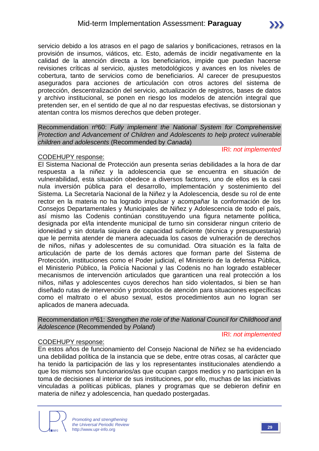servicio debido a los atrasos en el pago de salarios y bonificaciones, retrasos en la provisión de insumos, viáticos, etc. Esto, además de incidir negativamente en la calidad de la atención directa a los beneficiarios, impide que puedan hacerse revisiones críticas al servicio, ajustes metodológicos y avances en los niveles de cobertura, tanto de servicios como de beneficiarios. Al carecer de presupuestos asegurados para acciones de articulación con otros actores del sistema de protección, descentralización del servicio, actualización de registros, bases de datos y archivo institucional, se ponen en riesgo los modelos de atención integral que pretenden ser, en el sentido de que al no dar respuestas efectivas, se distorsionan y atentan contra los mismos derechos que deben proteger.

Recommendation nº60: *Fully implement the National System for Comprehensive Protection and Advancement of Children and Adolescents to help protect vulnerable children and adolescents* (Recommended by *Canada*)

#### CODEHUPY response:

IRI: *not implemented*

El Sistema Nacional de Protección aun presenta serias debilidades a la hora de dar respuesta a la niñez y la adolescencia que se encuentra en situación de vulnerabilidad, esta situación obedece a diversos factores, uno de ellos es la casi nula inversión pública para el desarrollo, implementación y sostenimiento del Sistema. La Secretaría Nacional de la Niñez y la Adolescencia, desde su rol de ente rector en la materia no ha logrado impulsar y acompañar la conformación de los Consejos Departamentales y Municipales de Niñez y Adolescencia de todo el país, así mismo las Codenis continúan constituyendo una figura netamente política, designada por el/la intendente municipal de turno sin considerar ningun criterio de idoneidad y sin dotarla siquiera de capacidad suficiente (técnica y presupuestaria) que le permita atender de manera adecuada los casos de vulneración de derechos de niños, niñas y adolescentes de su comunidad. Otra situación es la falta de articulación de parte de los demás actores que forman parte del Sistema de Protección, instituciones como el Poder judicial, el Ministerio de la defensa Pública, el Ministerio Público, la Policía Nacional y las Codenis no han logrado establecer mecanismos de intervención articulados que garanticen una real protección a los niños, niñas y adolescentes cuyos derechos han sido violentados, si bien se han diseñado rutas de intervención y protocolos de atención para situaciones específicas como el maltrato o el abuso sexual, estos procedimientos aun no logran ser aplicados de manera adecuada.

#### Recommendation nº61: *Strengthen the role of the National Council for Childhood and Adolescence* (Recommended by *Poland*)

#### IRI: *not implemented*

#### CODEHUPY response:

En estos años de funcionamiento del Consejo Nacional de Niñez se ha evidenciado una debilidad política de la instancia que se debe, entre otras cosas, al carácter que ha tenido la participación de las y los representantes institucionales atendiendo a que los mismos son funcionarios/as que ocupan cargos medios y no participan en la toma de decisiones al interior de sus instituciones, por ello, muchas de las iniciativas vinculadas a políticas públicas, planes y programas que se debieron definir en materia de niñez y adolescencia, han quedado postergadas.

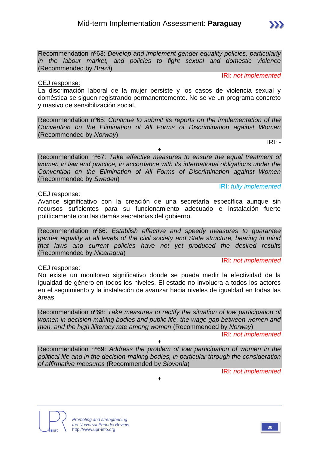Recommendation nº63: *Develop and implement gender equality policies, particularly in the labour market, and policies to fight sexual and domestic violence*  (Recommended by *Brazil*)

#### CEJ response:

La discrimación laboral de la mujer persiste y los casos de violencia sexual y doméstica se siguen registrando permanentemente. No se ve un programa concreto y masivo de sensibilización social.

Recommendation nº65: *Continue to submit its reports on the implementation of the Convention on the Elimination of All Forms of Discrimination against Women*  (Recommended by *Norway*)

IRI: *-*

Recommendation nº67: *Take effective measures to ensure the equal treatment of women in law and practice, in accordance with its international obligations under the Convention on the Elimination of All Forms of Discrimination against Women* (Recommended by *Sweden*)

+

CEJ response:

Avance significativo con la creación de una secretaría específica aunque sin recursos suficientes para su funcionamiento adecuado e instalación fuerte políticamente con las demás secretarías del gobierno.

Recommendation nº66: *Establish effective and speedy measures to guarantee gender equality at all levels of the civil society and State structure, bearing in mind that laws and current policies have not yet produced the desired results*  (Recommended by *Nicaragua*)

#### CEJ response:

No existe un monitoreo significativo donde se pueda medir la efectividad de la igualdad de género en todos los niveles. El estado no involucra a todos los actores en el seguimiento y la instalación de avanzar hacia niveles de igualdad en todas las áreas.

Recommendation nº68: *Take measures to rectify the situation of low participation of women in decision-making bodies and public life, the wage gap between women and men, and the high illiteracy rate among women* (Recommended by *Norway*)

IRI: *not implemented*

IRI: *not implemented*

 $+$ 

Recommendation nº69: *Address the problem of low participation of women in the political life and in the decision-making bodies, in particular through the consideration of affirmative measures* (Recommended by *Slovenia*)

+

IRI: *not implemented*





IRI: *not implemented*

IRI: *fully implemented*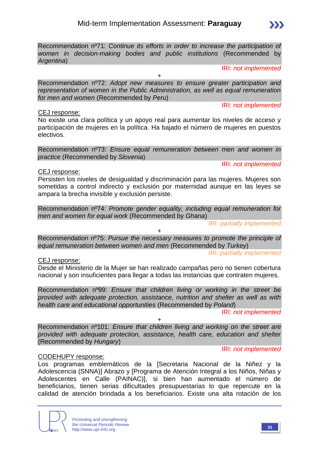Recommendation nº71: *Continue its efforts in order to increase the participation of women in decision-making bodies and public institutions* (Recommended by *Argentina*)

IRI: *not implemented*

Recommendation nº72: *Adopt new measures to ensure greater participation and representation of women in the Public Administration, as well as equal remuneration for men and women* (Recommended by *Peru*)

+

IRI: *not implemented*

IRI: *not implemented*

CEJ response:

No existe una clara política y un apoyo real para aumentar los niveles de acceso y participación de mujeres en la política. Ha bajado el número de mujeres en puestos electivos.

Recommendation nº73: *Ensure equal remuneration between men and women in practice* (Recommended by *Slovenia*)

CEJ response:

Persisten los niveles de desigualdad y discriminación para las mujeres. Mujeres son sometidas a control indirecto y exclusión por maternidad aunque en las leyes se ampara la brecha invisible y exclusión persiste.

Recommendation nº74: *Promote gender equality, including equal remuneration for men and women for equal work* (Recommended by *Ghana*)

IRI: *partially implemented*

Recommendation nº75: *Pursue the necessary measures to promote the principle of equal remuneration between women and men* (Recommended by *Turkey*)

+

IRI: *partially implemented*

CEJ response:

Desde el Ministerio de la Mujer se han realizado campañas pero no tienen cobertura nacional y son insuficientes para llegar a todas las instancias que contraten mujeres.

Recommendation nº99: *Ensure that children living or working in the street be provided with adequate protection, assistance, nutrition and shelter as well as with health care and educational opportunities* (Recommended by *Poland*)

IRI: *not implemented*

IRI: *not implemented*

Recommendation nº101: *Ensure that children living and working on the street are provided with adequate protection, assistance, health care, education and shelter* (Recommended by *Hungary*)

 $+$ 

#### CODEHUPY response:

Los programas emblemáticos de la [Secretaria Nacional de la Niñez y la Adolescencia (SNNA)] Abrazo y [Programa de Atención Integral a los Niños, Niñas y Adolescentes en Calle (PAINAC)], si bien han aumentado el número de beneficiarios, tienen serias dificultades presupuestarias lo que repercute en la calidad de atención brindada a los beneficiarios. Existe una alta rotación de los

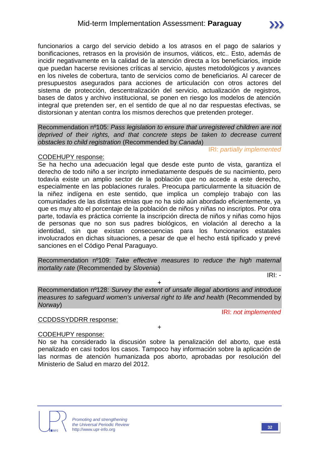funcionarios a cargo del servicio debido a los atrasos en el pago de salarios y bonificaciones, retrasos en la provisión de insumos, viáticos, etc.. Esto, además de incidir negativamente en la calidad de la atención directa a los beneficiarios, impide que puedan hacerse revisiones críticas al servicio, ajustes metodológicos y avances en los niveles de cobertura, tanto de servicios como de beneficiarios. Al carecer de presupuestos asegurados para acciones de articulación con otros actores del sistema de protección, descentralización del servicio, actualización de registros, bases de datos y archivo institucional, se ponen en riesgo los modelos de atención integral que pretenden ser, en el sentido de que al no dar respuestas efectivas, se distorsionan y atentan contra los mismos derechos que pretenden proteger.

Recommendation nº105: *Pass legislation to ensure that unregistered children are not deprived of their rights, and that concrete steps be taken to decrease current obstacles to child registration* (Recommended by *Canada*)

#### CODEHUPY response:

Se ha hecho una adecuación legal que desde este punto de vista, garantiza el derecho de todo niño a ser incripto inmediatamente después de su nacimiento, pero todavía existe un amplio sector de la población que no accede a este derecho, especialmente en las poblaciones rurales. Preocupa particularmente la situación de la niñez indígena en este sentido, que implica un complejo trabajo con las comunidades de las distintas etnias que no ha sido aún abordado eficientemente, ya que es muy alto el porcentaje de la población de niños y niñas no inscriptos. Por otra parte, todavía es práctica corriente la inscripción directa de niños y niñas como hijos de personas que no son sus padres biológicos, en violación al derecho a la identidad, sin que existan consecuencias para los funcionarios estatales involucrados en dichas situaciones, a pesar de que el hecho está tipificado y prevé sanciones en el Código Penal Paraguayo.

Recommendation nº109: *Take effective measures to reduce the high maternal mortality rate* (Recommended by *Slovenia*)

IRI: *-*

Recommendation nº128: *Survey the extent of unsafe illegal abortions and introduce measures to safequard women's universal right to life and health (Recommended by Norway*)

 $+$ 

CCDDSSYDDRR response:

IRI: *not implemented*

IRI: *partially implemented*

#### CODEHUPY response:

No se ha considerado la discusión sobre la penalización del aborto, que está penalizado en casi todos los casos. Tampoco hay información sobre la aplicación de las normas de atención humanizada pos aborto, aprobadas por resolución del Ministerio de Salud en marzo del 2012.

+

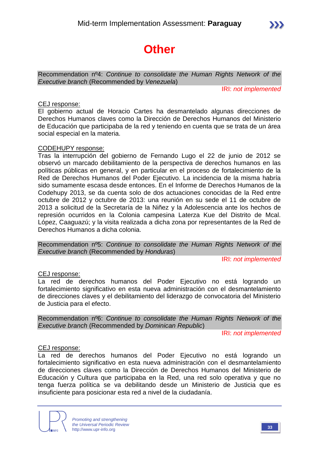# **Other**

Recommendation nº4: *Continue to consolidate the Human Rights Network of the Executive branch* (Recommended by *Venezuela*)

IRI: *not implemented*

#### CEJ response:

El gobierno actual de Horacio Cartes ha desmantelado algunas direcciones de Derechos Humanos claves como la Dirección de Derechos Humanos del Ministerio de Educación que participaba de la red y teniendo en cuenta que se trata de un área social especial en la materia.

#### CODEHUPY response:

Tras la interrupción del gobierno de Fernando Lugo el 22 de junio de 2012 se observó un marcado debilitamiento de la perspectiva de derechos humanos en las políticas públicas en general, y en particular en el proceso de fortalecimiento de la Red de Derechos Humanos del Poder Ejecutivo. La incidencia de la misma habría sido sumamente escasa desde entonces. En el Informe de Derechos Humanos de la Codehupy 2013, se da cuenta solo de dos actuaciones conocidas de la Red entre octubre de 2012 y octubre de 2013: una reunión en su sede el 11 de octubre de 2013 a solicitud de la Secretaría de la Niñez y la Adolescencia ante los hechos de represión ocurridos en la Colonia campesina Laterza Kue del Distrito de Mcal. López, Caaguazú; y la visita realizada a dicha zona por representantes de la Red de Derechos Humanos a dicha colonia.

Recommendation nº5: *Continue to consolidate the Human Rights Network of the Executive branch* (Recommended by *Honduras*)

IRI: *not implemented*

#### CEJ response:

La red de derechos humanos del Poder Ejecutivo no está logrando un fortalecimiento significativo en esta nueva administración con el desmantelamiento de direcciones claves y el debilitamiento del liderazgo de convocatoria del Ministerio de Justicia para el efecto.

Recommendation nº6: *Continue to consolidate the Human Rights Network of the Executive branch* (Recommended by *Dominican Republic*)

IRI: *not implemented*

#### CEJ response:

La red de derechos humanos del Poder Ejecutivo no está logrando un fortalecimiento significativo en esta nueva administración con el desmantelamiento de direcciones claves como la Dirección de Derechos Humanos del Ministerio de Educación y Cultura que participaba en la Red, una red solo operativa y que no tenga fuerza política se va debilitando desde un Ministerio de Justicia que es insuficiente para posicionar esta red a nivel de la ciudadanía.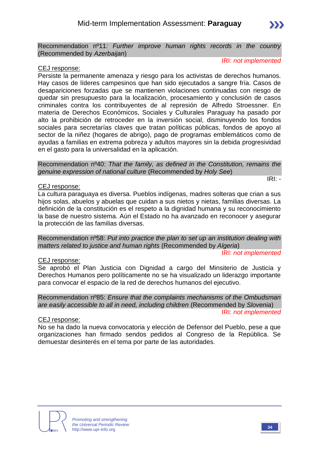Recommendation nº11: *Further improve human rights records in the country*  (Recommended by *Azerbaijan*)

#### CEJ response:

Persiste la permanente amenaza y riesgo para los activistas de derechos humanos. Hay casos de líderes campesinos que han sido ejecutados a sangre fría. Casos de desapariciones forzadas que se mantienen violaciones continuadas con riesgo de quedar sin presupuesto para la localización, procesamiento y conclusión de casos criminales contra los contribuyentes de al represión de Alfredo Stroessner. En materia de Derechos Económicos, Sociales y Culturales Paraguay ha pasado por alto la prohibición de retroceder en la inversión social, disminuyendo los fondos sociales para secretarías claves que tratan políticas públicas, fondos de apoyo al sector de la niñez (hogares de abrigo), pago de programas emblemáticos como de ayudas a familias en extrema pobreza y adultos mayores sin la debida progresividad en el gasto para la universalidad en la aplicación.

Recommendation nº40: *That the family, as defined in the Constitution, remains the genuine expression of national culture* (Recommended by *Holy See*)

#### CEJ response:

La cultura paraguaya es diversa. Pueblos indígenas, madres solteras que crian a sus hijos solas, abuelos y abuelas que cuidan a sus nietos y nietas, familias diversas. La definición de la constitución es el respeto a la dignidad humana y su reconocimiento la base de nuestro sistema. Aún el Estado no ha avanzado en reconocer y asegurar la protección de las familias diversas.

Recommendation nº58: *Put into practice the plan to set up an institution dealing with matters related to justice and human rights* (Recommended by *Algeria*)

#### IRI: *not implemented*

#### CEJ response:

Se aprobó el Plan Justicia con Dignidad a cargo del Minsiterio de Justicia y Derechos Humanos pero políticamente no se ha visualizado un liderazgo importante para convocar el espacio de la red de derechos humanos del ejecutivo.

Recommendation nº85: *Ensure that the complaints mechanisms of the Ombudsman are easily accessible to all in need, including children* (Recommended by *Slovenia*)

IRI: *not implemented*

#### CEJ response:

No se ha dado la nueva convocatoria y elección de Defensor del Pueblo, pese a que organizaciones han firmado sendos pedidos al Congreso de la República. Se demuestar desinterés en el tema por parte de las autoridades.





IRI: *not implemented*

IRI: *-*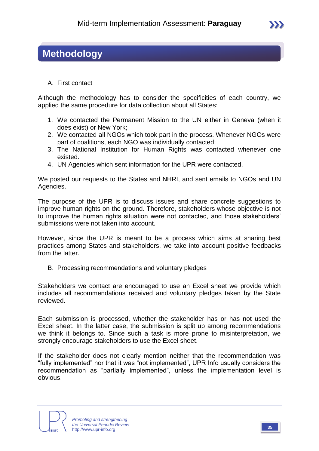A. First contact

Although the methodology has to consider the specificities of each country, we applied the same procedure for data collection about all States:

- 1. We contacted the Permanent Mission to the UN either in Geneva (when it does exist) or New York;
- 2. We contacted all NGOs which took part in the process. Whenever NGOs were part of coalitions, each NGO was individually contacted;
- 3. The National Institution for Human Rights was contacted whenever one existed.
- 4. UN Agencies which sent information for the UPR were contacted.

We posted our requests to the States and NHRI, and sent emails to NGOs and UN Agencies.

The purpose of the UPR is to discuss issues and share concrete suggestions to improve human rights on the ground. Therefore, stakeholders whose objective is not to improve the human rights situation were not contacted, and those stakeholders' submissions were not taken into account.

However, since the UPR is meant to be a process which aims at sharing best practices among States and stakeholders, we take into account positive feedbacks from the latter.

B. Processing recommendations and voluntary pledges

Stakeholders we contact are encouraged to use an Excel sheet we provide which includes all recommendations received and voluntary pledges taken by the State reviewed.

Each submission is processed, whether the stakeholder has or has not used the Excel sheet. In the latter case, the submission is split up among recommendations we think it belongs to. Since such a task is more prone to misinterpretation, we strongly encourage stakeholders to use the Excel sheet.

If the stakeholder does not clearly mention neither that the recommendation was "fully implemented" nor that it was "not implemented", UPR Info usually considers the recommendation as "partially implemented", unless the implementation level is obvious.

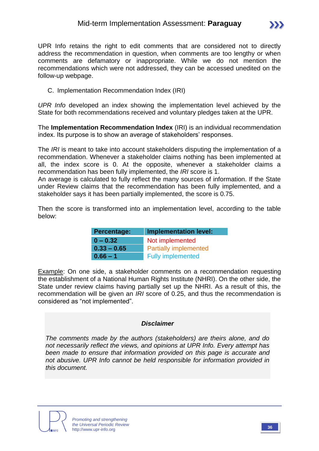

C. Implementation Recommendation Index (IRI)

*UPR Info* developed an index showing the implementation level achieved by the State for both recommendations received and voluntary pledges taken at the UPR.

The **Implementation Recommendation Index** (IRI) is an individual recommendation index. Its purpose is to show an average of stakeholders' responses.

The *IRI* is meant to take into account stakeholders disputing the implementation of a recommendation. Whenever a stakeholder claims nothing has been implemented at all, the index score is 0. At the opposite, whenever a stakeholder claims a recommendation has been fully implemented, the *IRI* score is 1.

An average is calculated to fully reflect the many sources of information. If the State under Review claims that the recommendation has been fully implemented, and a stakeholder says it has been partially implemented, the score is 0.75.

Then the score is transformed into an implementation level, according to the table below:

| <b>Percentage:</b> | <b>Implementation level:</b> |
|--------------------|------------------------------|
| $0 - 0.32$         | Not implemented              |
| $0.33 - 0.65$      | <b>Partially implemented</b> |
| $0.66 - 1$         | <b>Fully implemented</b>     |

Example: On one side, a stakeholder comments on a recommendation requesting the establishment of a National Human Rights Institute (NHRI). On the other side, the State under review claims having partially set up the NHRI. As a result of this, the recommendation will be given an *IRI* score of 0.25, and thus the recommendation is considered as "not implemented".

#### *Disclaimer*

*The comments made by the authors (stakeholders) are theirs alone, and do not necessarily reflect the views, and opinions at UPR Info. Every attempt has been made to ensure that information provided on this page is accurate and not abusive. UPR Info cannot be held responsible for information provided in this document.*

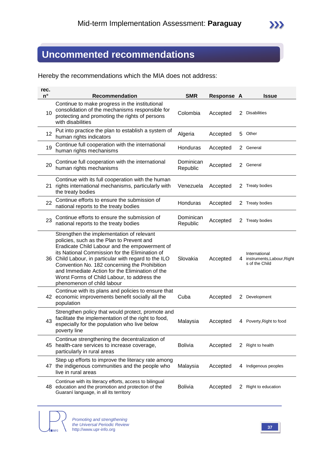### **Uncommented recommendations**

Hereby the recommendations which the MIA does not address:

| rec.<br>$n^{\circ}$ | <b>Recommendation</b>                                                                                                                                                                                                                                                                                                                                                                                                               | <b>SMR</b>            | <b>Response A</b> |   | <b>Issue</b>                                                  |
|---------------------|-------------------------------------------------------------------------------------------------------------------------------------------------------------------------------------------------------------------------------------------------------------------------------------------------------------------------------------------------------------------------------------------------------------------------------------|-----------------------|-------------------|---|---------------------------------------------------------------|
| 10                  | Continue to make progress in the institutional<br>consolidation of the mechanisms responsible for<br>protecting and promoting the rights of persons<br>with disabilities                                                                                                                                                                                                                                                            | Colombia              | Accepted          |   | 2 Disabilities                                                |
| 12                  | Put into practice the plan to establish a system of<br>human rights indicators                                                                                                                                                                                                                                                                                                                                                      | Algeria               | Accepted          | 5 | Other                                                         |
| 19                  | Continue full cooperation with the international<br>human rights mechanisms                                                                                                                                                                                                                                                                                                                                                         | Honduras              | Accepted          |   | 2 General                                                     |
| 20                  | Continue full cooperation with the international<br>human rights mechanisms                                                                                                                                                                                                                                                                                                                                                         | Dominican<br>Republic | Accepted          | 2 | General                                                       |
| 21                  | Continue with its full cooperation with the human<br>rights international mechanisms, particularly with<br>the treaty bodies                                                                                                                                                                                                                                                                                                        | Venezuela             | Accepted          | 2 | <b>Treaty bodies</b>                                          |
| 22                  | Continue efforts to ensure the submission of<br>national reports to the treaty bodies                                                                                                                                                                                                                                                                                                                                               | Honduras              | Accepted          |   | 2 Treaty bodies                                               |
| 23                  | Continue efforts to ensure the submission of<br>national reports to the treaty bodies                                                                                                                                                                                                                                                                                                                                               | Dominican<br>Republic | Accepted          | 2 | <b>Treaty bodies</b>                                          |
|                     | Strengthen the implementation of relevant<br>policies, such as the Plan to Prevent and<br>Eradicate Child Labour and the empowerment of<br>its National Commission for the Elimination of<br>36 Child Labour, in particular with regard to the ILO<br>Convention No. 182 concerning the Prohibition<br>and Immediate Action for the Elimination of the<br>Worst Forms of Child Labour, to address the<br>phenomenon of child labour | Slovakia              | Accepted          | 4 | International<br>instruments, Labour, Right<br>s of the Child |
|                     | Continue with its plans and policies to ensure that<br>42 economic improvements benefit socially all the<br>population                                                                                                                                                                                                                                                                                                              | Cuba                  | Accepted          | 2 | Development                                                   |
| 43                  | Strengthen policy that would protect, promote and<br>facilitate the implementation of the right to food,<br>especially for the population who live below<br>poverty line                                                                                                                                                                                                                                                            | Malaysia              | Accepted          |   | 4 Poverty, Right to food                                      |
|                     | Continue strengthening the decentralization of<br>45 health-care services to increase coverage,<br>particularly in rural areas                                                                                                                                                                                                                                                                                                      | <b>Bolivia</b>        | Accepted          | 2 | Right to health                                               |
|                     | Step up efforts to improve the literacy rate among<br>47 the indigenous communities and the people who<br>live in rural areas                                                                                                                                                                                                                                                                                                       | Malaysia              | Accepted          | 4 | Indigenous peoples                                            |
|                     | Continue with its literacy efforts, access to bilingual<br>48 education and the promotion and protection of the<br>Guaraní language, in all its territory                                                                                                                                                                                                                                                                           | <b>Bolivia</b>        | Accepted          | 2 | Right to education                                            |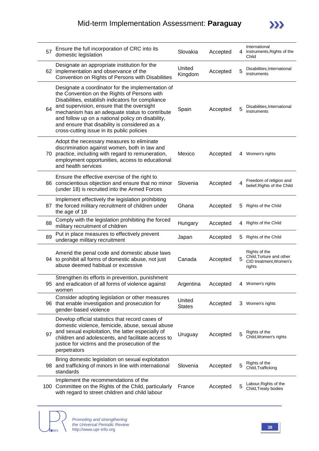### Mid-term Implementation Assessment: **Paraguay**

| 57 | Ensure the full incorporation of CRC into its<br>domestic legislation                                                                                                                                                                                                                                                                                                                                      | Slovakia                | Accepted |    | International<br>4 instruments, Rights of the<br>Child                        |
|----|------------------------------------------------------------------------------------------------------------------------------------------------------------------------------------------------------------------------------------------------------------------------------------------------------------------------------------------------------------------------------------------------------------|-------------------------|----------|----|-------------------------------------------------------------------------------|
|    | Designate an appropriate institution for the<br>62 implementation and observance of the<br>Convention on Rights of Persons with Disabilities                                                                                                                                                                                                                                                               | United<br>Kingdom       | Accepted | 5  | Disabilities, International<br>instruments                                    |
| 64 | Designate a coordinator for the implementation of<br>the Convention on the Rights of Persons with<br>Disabilities, establish indicators for compliance<br>and supervision, ensure that the oversight<br>mechanism has an adequate status to contribute<br>and follow up on a national policy on disability,<br>and ensure that disability is considered as a<br>cross-cutting issue in its public policies | Spain                   | Accepted | 5  | Disabilities, International<br>instruments                                    |
|    | Adopt the necessary measures to eliminate<br>discrimination against women, both in law and<br>70 practice, including with regard to remuneration,<br>employment opportunities, access to educational<br>and health services                                                                                                                                                                                | Mexico                  | Accepted | 4  | Women's rights                                                                |
|    | Ensure the effective exercise of the right to<br>86 conscientious objection and ensure that no minor<br>(under 18) is recruited into the Armed Forces                                                                                                                                                                                                                                                      | Slovenia                | Accepted | 4  | Freedom of religion and<br>belief, Rights of the Child                        |
|    | Implement effectively the legislation prohibiting<br>87 the forced military recruitment of children under<br>the age of 18                                                                                                                                                                                                                                                                                 | Ghana                   | Accepted | 5  | Rights of the Child                                                           |
| 88 | Comply with the legislation prohibiting the forced<br>military recruitment of children                                                                                                                                                                                                                                                                                                                     | Hungary                 | Accepted | 4  | Rights of the Child                                                           |
| 89 | Put in place measures to effectively prevent<br>underage military recruitment                                                                                                                                                                                                                                                                                                                              | Japan                   | Accepted | 5. | Rights of the Child                                                           |
|    | Amend the penal code and domestic abuse laws<br>94 to prohibit all forms of domestic abuse, not just<br>abuse deemed habitual or excessive                                                                                                                                                                                                                                                                 | Canada                  | Accepted | 5  | Rights of the<br>Child, Torture and other<br>CID treatment, Women's<br>rights |
|    | Strengthen its efforts in prevention, punishment<br>95 and eradication of all forms of violence against<br>women                                                                                                                                                                                                                                                                                           | Argentina               | Accepted |    | 4 Women's rights                                                              |
|    | Consider adopting legislation or other measures<br>96 that enable investigation and prosecution for<br>gender-based violence                                                                                                                                                                                                                                                                               | United<br><b>States</b> | Accepted | З  | Women's rights                                                                |
| 97 | Develop official statistics that record cases of<br>domestic violence, femicide, abuse, sexual abuse<br>and sexual exploitation, the latter especially of<br>children and adolescents, and facilitate access to<br>justice for victims and the prosecution of the<br>perpetrators                                                                                                                          | Uruguay                 | Accepted | 5  | Rights of the<br>Child, Women's rights                                        |
|    | Bring domestic legislation on sexual exploitation<br>98 and trafficking of minors in line with international<br>standards                                                                                                                                                                                                                                                                                  | Slovenia                | Accepted | 5  | Rights of the<br>Child, Trafficking                                           |
|    | Implement the recommendations of the<br>100 Committee on the Rights of the Child, particularly<br>with regard to street children and child labour                                                                                                                                                                                                                                                          | France                  | Accepted | 5  | Labour, Rights of the<br>Child, Treaty bodies                                 |

**NINFO** 

 $\sum$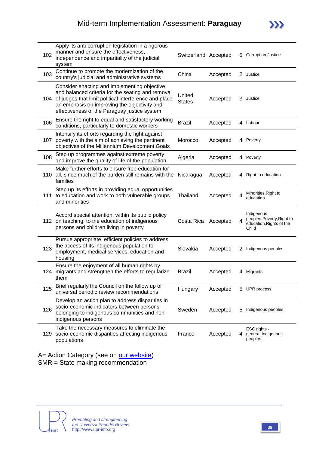| 102 | Apply its anti-corruption legislation in a rigorous<br>manner and ensure the effectiveness,<br>independence and impartiality of the judicial<br>system                                                                                                         | Switzerland Accepted    |          | 5. | Corruption, Justice                                                           |
|-----|----------------------------------------------------------------------------------------------------------------------------------------------------------------------------------------------------------------------------------------------------------------|-------------------------|----------|----|-------------------------------------------------------------------------------|
| 103 | Continue to promote the modernization of the<br>country's judicial and administrative systems                                                                                                                                                                  | China                   | Accepted |    | 2 Justice                                                                     |
|     | Consider enacting and implementing objective<br>and balanced criteria for the seating and removal<br>104 of judges that limit political interference and place<br>an emphasis on improving the objectivity and<br>effectiveness of the Paraguay justice system | United<br><b>States</b> | Accepted |    | 3 Justice                                                                     |
| 106 | Ensure the right to equal and satisfactory working<br>conditions, particularly to domestic workers                                                                                                                                                             | <b>Brazil</b>           | Accepted |    | 4 Labour                                                                      |
| 107 | Intensify its efforts regarding the fight against<br>poverty with the aim of achieving the pertinent<br>objectives of the Millennium Development Goals                                                                                                         | Morocco                 | Accepted |    | 4 Poverty                                                                     |
| 108 | Step up programmes against extreme poverty<br>and improve the quality of life of the population                                                                                                                                                                | Algeria                 | Accepted |    | 4 Poverty                                                                     |
|     | Make further efforts to ensure free education for<br>110 all, since much of the burden still remains with the<br>families                                                                                                                                      | Nicaragua               | Accepted | 4  | Right to education                                                            |
|     | Step up its efforts in providing equal opportunities<br>111 to education and work to both vulnerable groups<br>and minorities                                                                                                                                  | Thailand                | Accepted | 4  | Minorities, Right to<br>education                                             |
|     | Accord special attention, within its public policy<br>112 on teaching, to the education of indigenous<br>persons and children living in poverty                                                                                                                | Costa Rica              | Accepted |    | Indigenous<br>peoples, Poverty, Right to<br>education, Rights of the<br>Child |
| 123 | Pursue appropriate, efficient policies to address<br>the access of its indigenous population to<br>employment, medical services, education and<br>housing                                                                                                      | Slovakia                | Accepted | 2  | Indigenous peoples                                                            |
|     | Ensure the enjoyment of all human rights by<br>124 migrants and strengthen the efforts to regularize<br>them                                                                                                                                                   | <b>Brazil</b>           | Accepted | 4  | Migrants                                                                      |
| 125 | Brief regularly the Council on the follow up of<br>universal periodic review recommendations                                                                                                                                                                   | Hungary                 | Accepted | 5. | <b>UPR</b> process                                                            |
| 126 | Develop an action plan to address disparities in<br>socio-economic indicators between persons<br>belonging to indigenous communities and non<br>indigenous persons                                                                                             | Sweden                  | Accepted | 5  | Indigenous peoples                                                            |
| 129 | Take the necessary measures to eliminate the<br>socio-economic disparities affecting indigenous<br>populations                                                                                                                                                 | France                  | Accepted | 4  | ESC rights -<br>general, Indigenous<br>peoples                                |

A= Action Category (see on **our website)** SMR = State making recommendation

 $\sum$